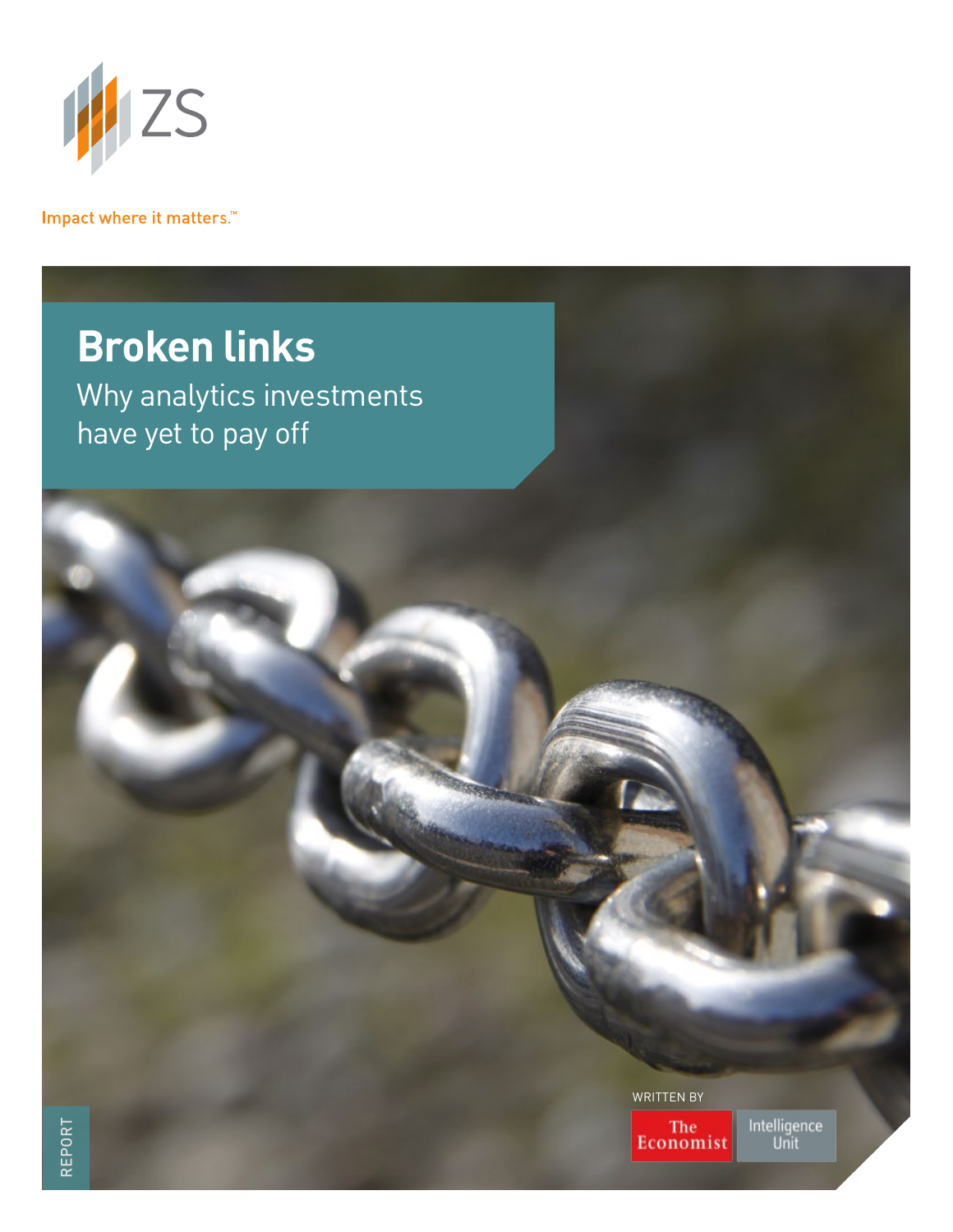

Impact where it matters.<sup>™</sup>

# **Broken links**

Why analytics investments have yet to pay off

> WRITTEN BY The<br>Economist

Intelligence<br>Unit

REPORT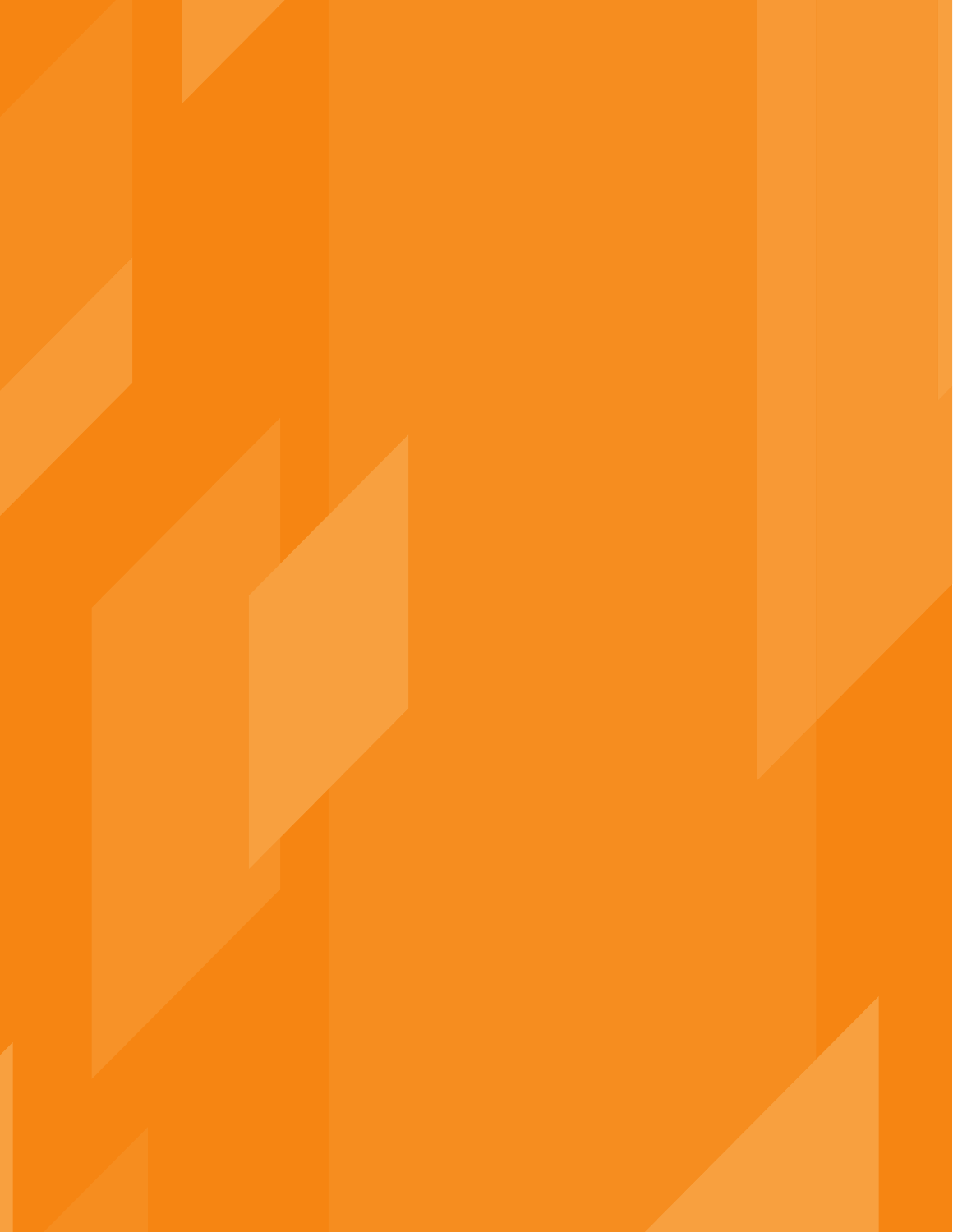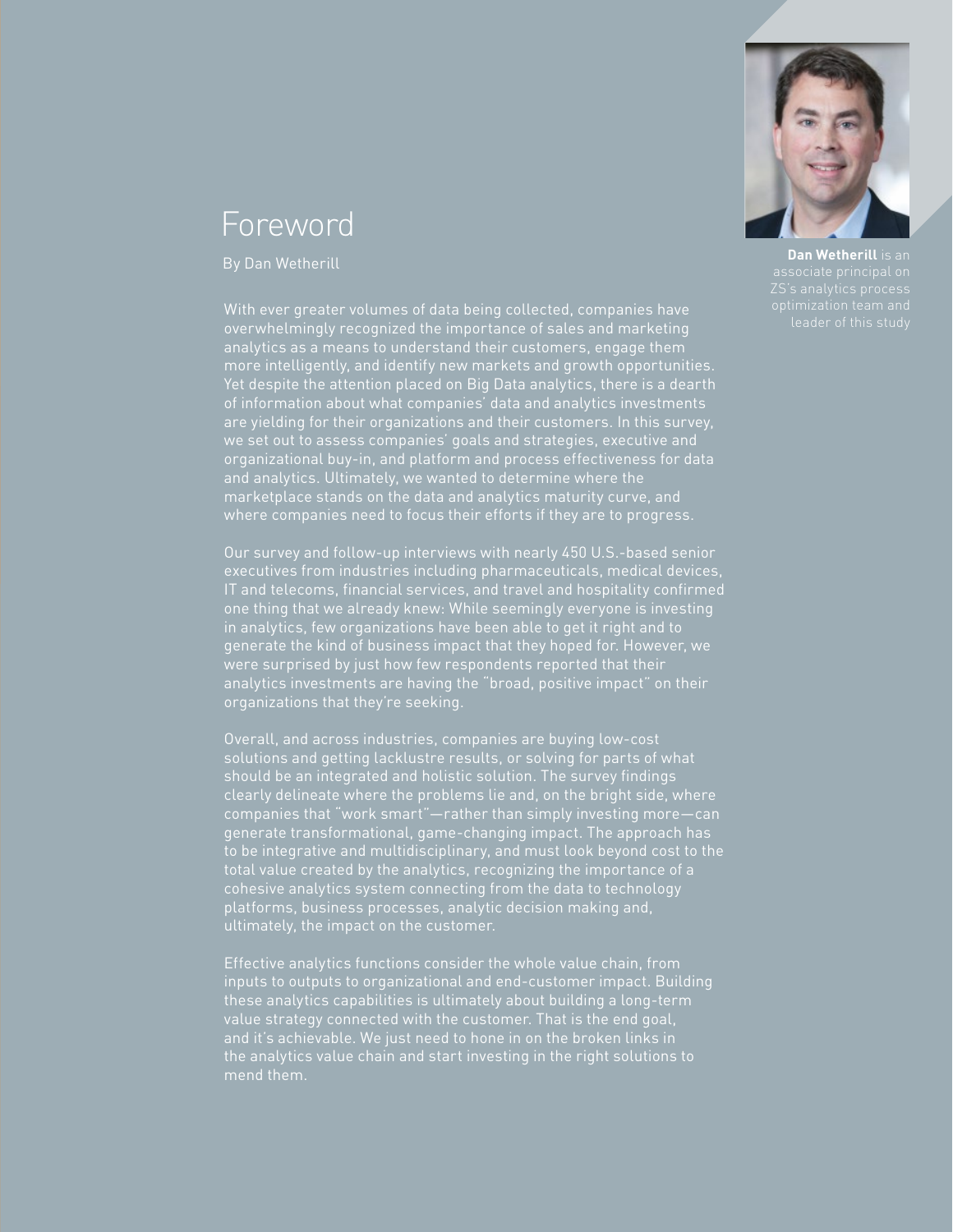# Foreword

With ever greater volumes of data being collected, companies have overwhelmingly recognized the importance of sales and marketing analytics as a means to understand their customers, engage them more intelligently, and identify new markets and growth opportunities. are yielding for their organizations and their customers. In this survey, we set out to assess companies' goals and strategies, executive and organizational buy-in, and platform and process effectiveness for data where companies need to focus their efforts if they are to progress.

Our survey and follow-up interviews with nearly 450 U.S.-based senior executives from industries including pharmaceuticals, medical devices, one thing that we already knew: While seemingly everyone is investing in analytics, few organizations have been able to get it right and to

should be an integrated and holistic solution. The survey findings clearly delineate where the problems lie and, on the bright side, where generate transformational, game-changing impact. The approach has cohesive analytics system connecting from the data to technology platforms, business processes, analytic decision making and,

Effective analytics functions consider the whole value chain, from inputs to outputs to organizational and end-customer impact. Building and it's achievable. We just need to hone in on the broken links in mend them.



**Dan Wetherill** is an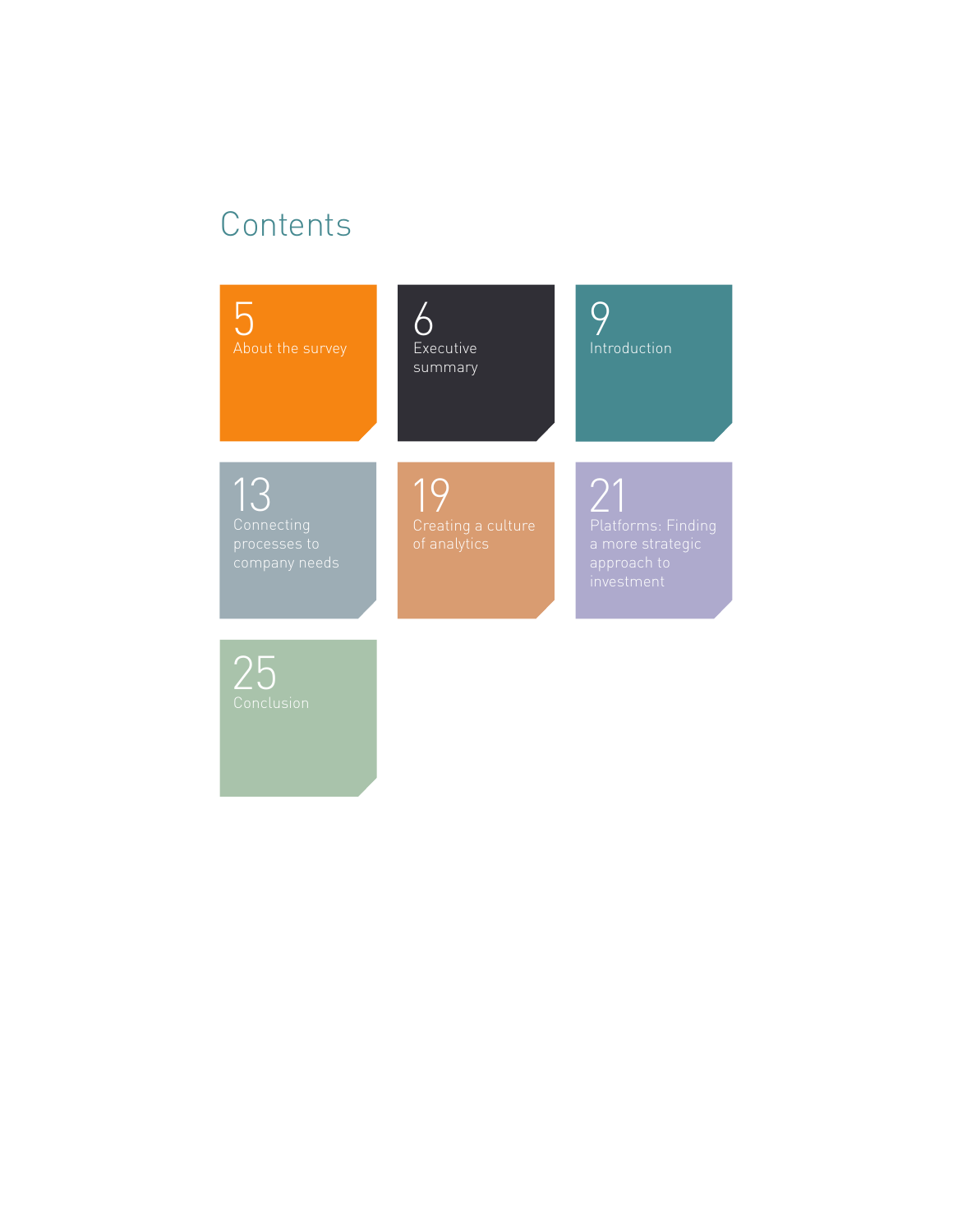# **Contents**

| About the survey                                  | Executive<br>summary                     | Introduction                                                              |
|---------------------------------------------------|------------------------------------------|---------------------------------------------------------------------------|
| 13<br>Connecting<br>processes to<br>company needs | 19<br>Creating a culture<br>of analytics | 21<br>Platforms: Finding<br>a more strategic<br>approach to<br>investment |
| 25<br>Conclusion                                  |                                          |                                                                           |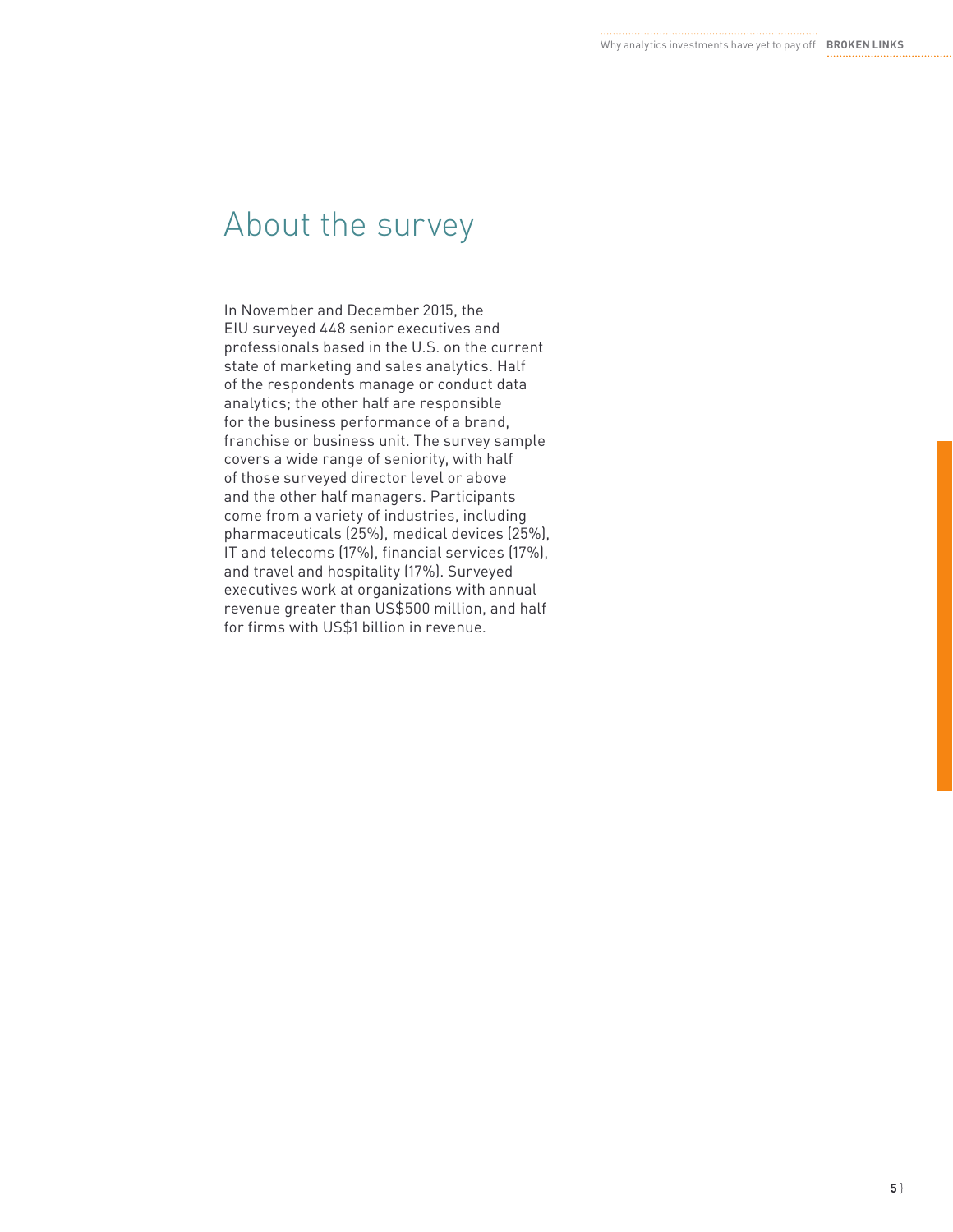# About the survey

In November and December 2015, the EIU surveyed 448 senior executives and professionals based in the U.S. on the current state of marketing and sales analytics. Half of the respondents manage or conduct data analytics; the other half are responsible for the business performance of a brand, franchise or business unit. The survey sample covers a wide range of seniority, with half of those surveyed director level or above and the other half managers. Participants come from a variety of industries, including pharmaceuticals (25%), medical devices (25%), IT and telecoms (17%), financial services (17%), and travel and hospitality (17%). Surveyed executives work at organizations with annual revenue greater than US\$500 million, and half for firms with US\$1 billion in revenue.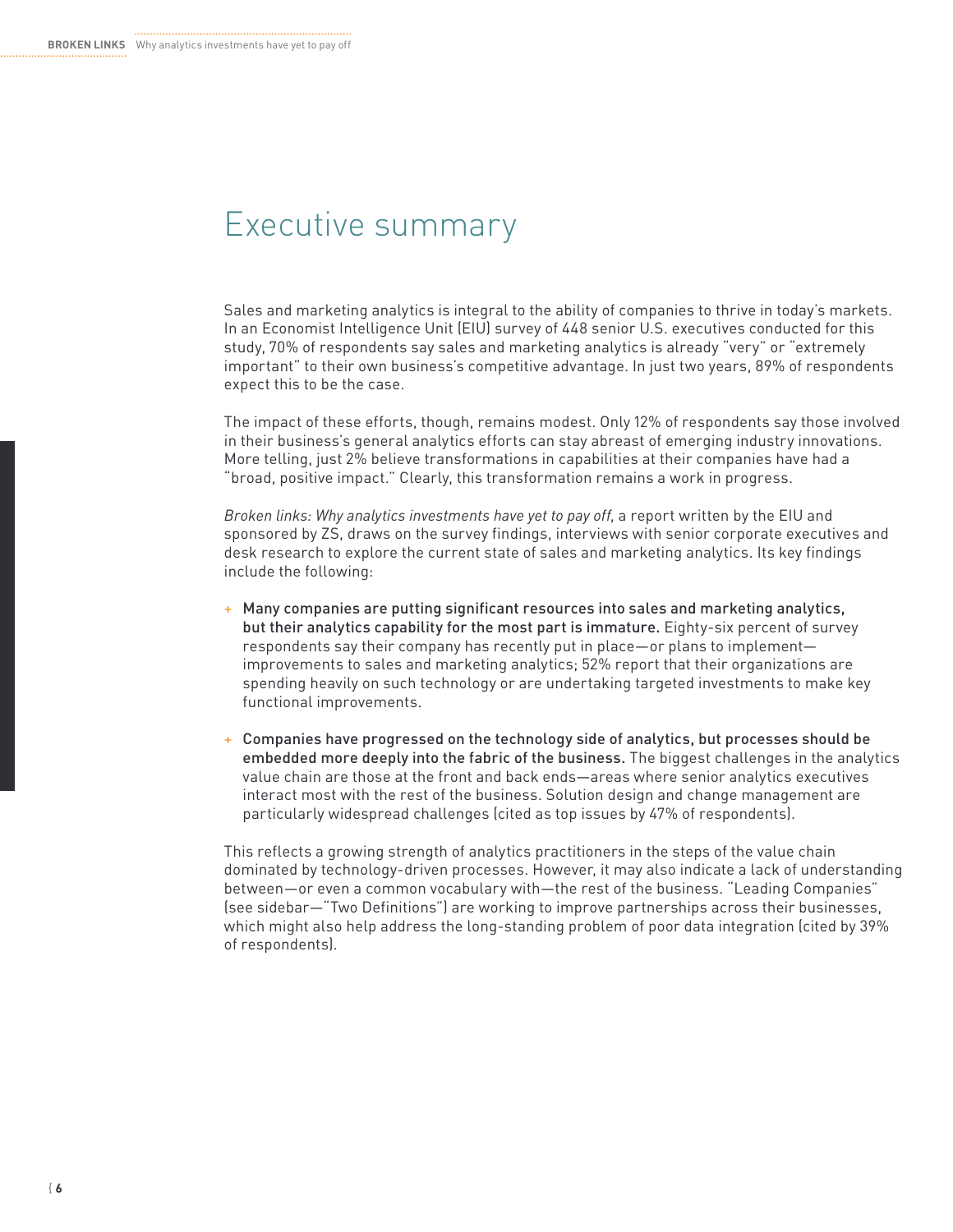# Executive summary

Sales and marketing analytics is integral to the ability of companies to thrive in today's markets. In an Economist Intelligence Unit (EIU) survey of 448 senior U.S. executives conducted for this study, 70% of respondents say sales and marketing analytics is already "very" or "extremely important" to their own business's competitive advantage. In just two years, 89% of respondents expect this to be the case.

The impact of these efforts, though, remains modest. Only 12% of respondents say those involved in their business's general analytics efforts can stay abreast of emerging industry innovations. More telling, just 2% believe transformations in capabilities at their companies have had a "broad, positive impact." Clearly, this transformation remains a work in progress.

*Broken links: Why analytics investments have yet to pay off*, a report written by the EIU and sponsored by ZS, draws on the survey findings, interviews with senior corporate executives and desk research to explore the current state of sales and marketing analytics. Its key findings include the following:

- Many companies are putting significant resources into sales and marketing analytics, but their analytics capability for the most part is immature. Eighty-six percent of survey respondents say their company has recently put in place—or plans to implement improvements to sales and marketing analytics; 52% report that their organizations are spending heavily on such technology or are undertaking targeted investments to make key functional improvements.
- Companies have progressed on the technology side of analytics, but processes should be embedded more deeply into the fabric of the business. The biggest challenges in the analytics value chain are those at the front and back ends—areas where senior analytics executives interact most with the rest of the business. Solution design and change management are particularly widespread challenges (cited as top issues by 47% of respondents).

This reflects a growing strength of analytics practitioners in the steps of the value chain dominated by technology-driven processes. However, it may also indicate a lack of understanding between—or even a common vocabulary with—the rest of the business. "Leading Companies" (see sidebar—"Two Definitions") are working to improve partnerships across their businesses, which might also help address the long-standing problem of poor data integration (cited by 39% of respondents).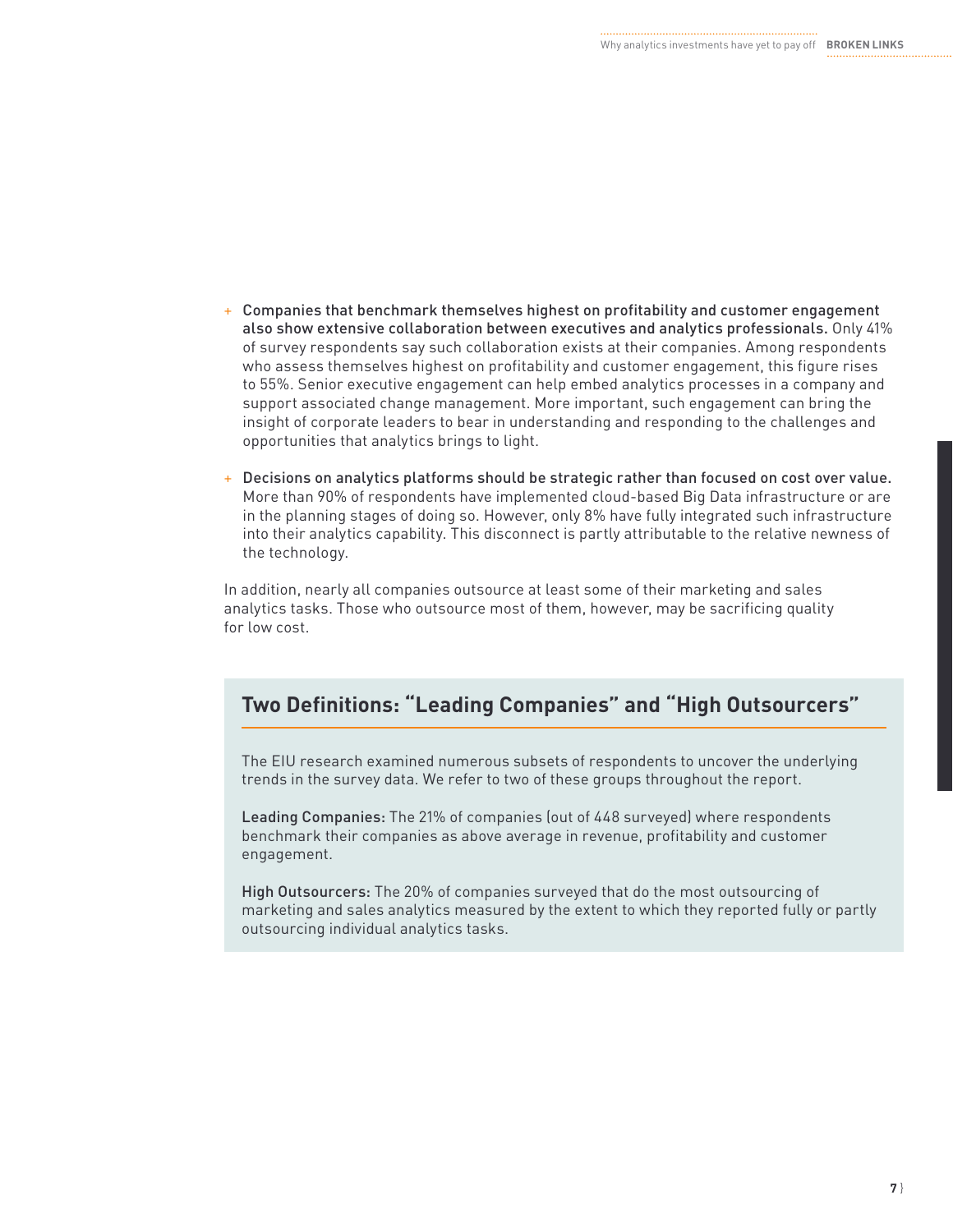- $+$  Companies that benchmark themselves highest on profitability and customer engagement also show extensive collaboration between executives and analytics professionals. Only 41% of survey respondents say such collaboration exists at their companies. Among respondents who assess themselves highest on profitability and customer engagement, this figure rises to 55%. Senior executive engagement can help embed analytics processes in a company and support associated change management. More important, such engagement can bring the insight of corporate leaders to bear in understanding and responding to the challenges and opportunities that analytics brings to light.
- Decisions on analytics platforms should be strategic rather than focused on cost over value. More than 90% of respondents have implemented cloud-based Big Data infrastructure or are in the planning stages of doing so. However, only 8% have fully integrated such infrastructure into their analytics capability. This disconnect is partly attributable to the relative newness of the technology.

In addition, nearly all companies outsource at least some of their marketing and sales analytics tasks. Those who outsource most of them, however, may be sacrificing quality for low cost.

# **Two Definitions: "Leading Companies" and "High Outsourcers"**

The EIU research examined numerous subsets of respondents to uncover the underlying trends in the survey data. We refer to two of these groups throughout the report.

Leading Companies: The 21% of companies (out of 448 surveyed) where respondents benchmark their companies as above average in revenue, profitability and customer engagement.

High Outsourcers: The 20% of companies surveyed that do the most outsourcing of marketing and sales analytics measured by the extent to which they reported fully or partly outsourcing individual analytics tasks.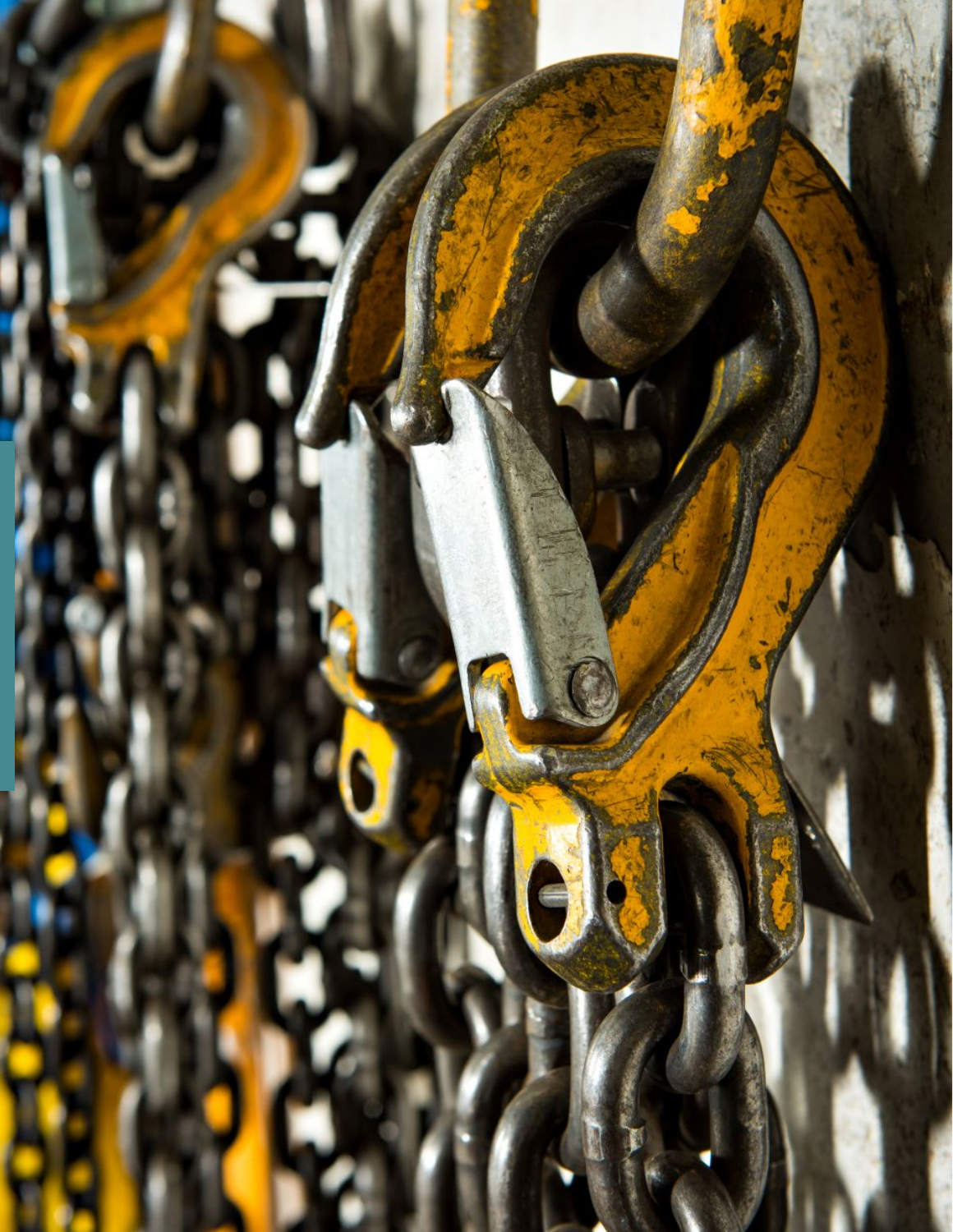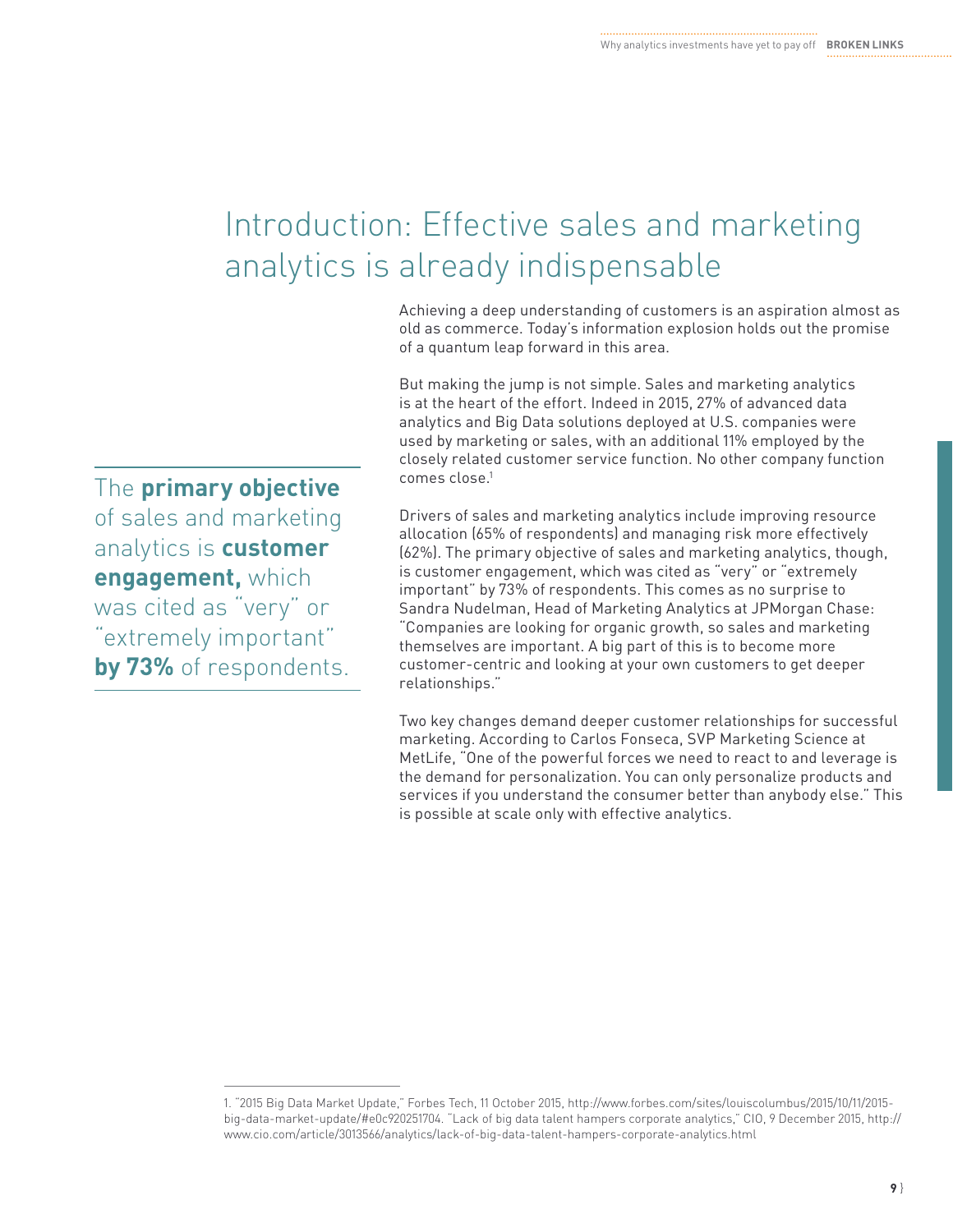# Introduction: Effective sales and marketing analytics is already indispensable

Achieving a deep understanding of customers is an aspiration almost as old as commerce. Today's information explosion holds out the promise of a quantum leap forward in this area.

But making the jump is not simple. Sales and marketing analytics is at the heart of the effort. Indeed in 2015, 27% of advanced data analytics and Big Data solutions deployed at U.S. companies were used by marketing or sales, with an additional 11% employed by the closely related customer service function. No other company function comes close.1

Drivers of sales and marketing analytics include improving resource allocation (65% of respondents) and managing risk more effectively (62%). The primary objective of sales and marketing analytics, though, is customer engagement, which was cited as "very" or "extremely important" by 73% of respondents. This comes as no surprise to Sandra Nudelman, Head of Marketing Analytics at JPMorgan Chase: "Companies are looking for organic growth, so sales and marketing themselves are important. A big part of this is to become more customer-centric and looking at your own customers to get deeper relationships."

Two key changes demand deeper customer relationships for successful marketing. According to Carlos Fonseca, SVP Marketing Science at MetLife, "One of the powerful forces we need to react to and leverage is the demand for personalization. You can only personalize products and services if you understand the consumer better than anybody else." This is possible at scale only with effective analytics.

The **primary objective** of sales and marketing analytics is **customer engagement,** which was cited as "very" or "extremely important" **by 73%** of respondents.

<sup>1. &</sup>quot;2015 Big Data Market Update," Forbes Tech, 11 October 2015, http://www.forbes.com/sites/louiscolumbus/2015/10/11/2015 big-data-market-update/#e0c920251704. "Lack of big data talent hampers corporate analytics," CIO, 9 December 2015, http:// www.cio.com/article/3013566/analytics/lack-of-big-data-talent-hampers-corporate-analytics.html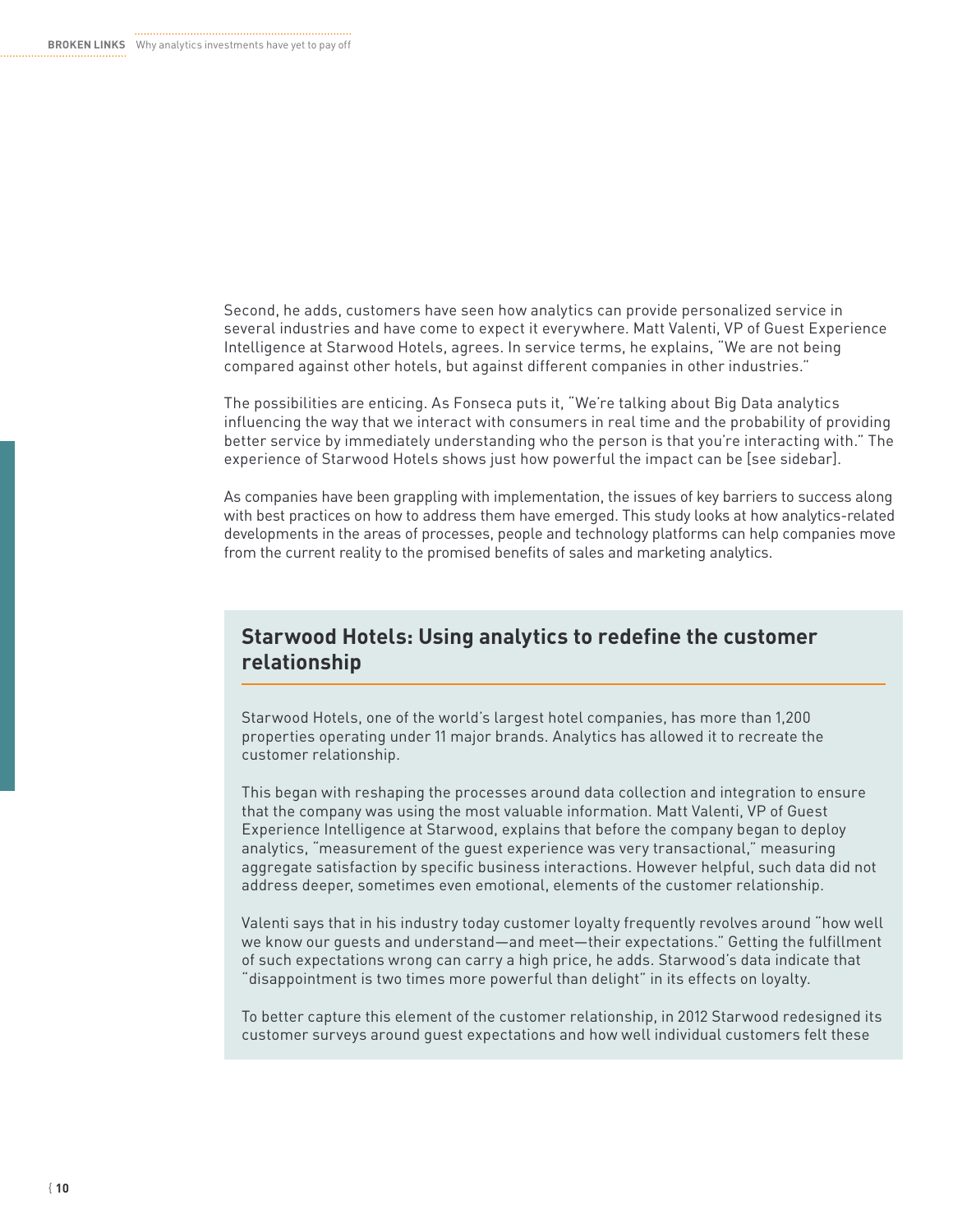Second, he adds, customers have seen how analytics can provide personalized service in several industries and have come to expect it everywhere. Matt Valenti, VP of Guest Experience Intelligence at Starwood Hotels, agrees. In service terms, he explains, "We are not being compared against other hotels, but against different companies in other industries."

The possibilities are enticing. As Fonseca puts it, "We're talking about Big Data analytics influencing the way that we interact with consumers in real time and the probability of providing better service by immediately understanding who the person is that you're interacting with." The experience of Starwood Hotels shows just how powerful the impact can be [see sidebar].

As companies have been grappling with implementation, the issues of key barriers to success along with best practices on how to address them have emerged. This study looks at how analytics-related developments in the areas of processes, people and technology platforms can help companies move from the current reality to the promised benefits of sales and marketing analytics.

### **Starwood Hotels: Using analytics to redefine the customer relationship**

Starwood Hotels, one of the world's largest hotel companies, has more than 1,200 properties operating under 11 major brands. Analytics has allowed it to recreate the customer relationship.

This began with reshaping the processes around data collection and integration to ensure that the company was using the most valuable information. Matt Valenti, VP of Guest Experience Intelligence at Starwood, explains that before the company began to deploy analytics, "measurement of the guest experience was very transactional," measuring aggregate satisfaction by specific business interactions. However helpful, such data did not address deeper, sometimes even emotional, elements of the customer relationship.

Valenti says that in his industry today customer loyalty frequently revolves around "how well we know our guests and understand—and meet—their expectations." Getting the fulfillment of such expectations wrong can carry a high price, he adds. Starwood's data indicate that "disappointment is two times more powerful than delight" in its effects on loyalty.

To better capture this element of the customer relationship, in 2012 Starwood redesigned its customer surveys around guest expectations and how well individual customers felt these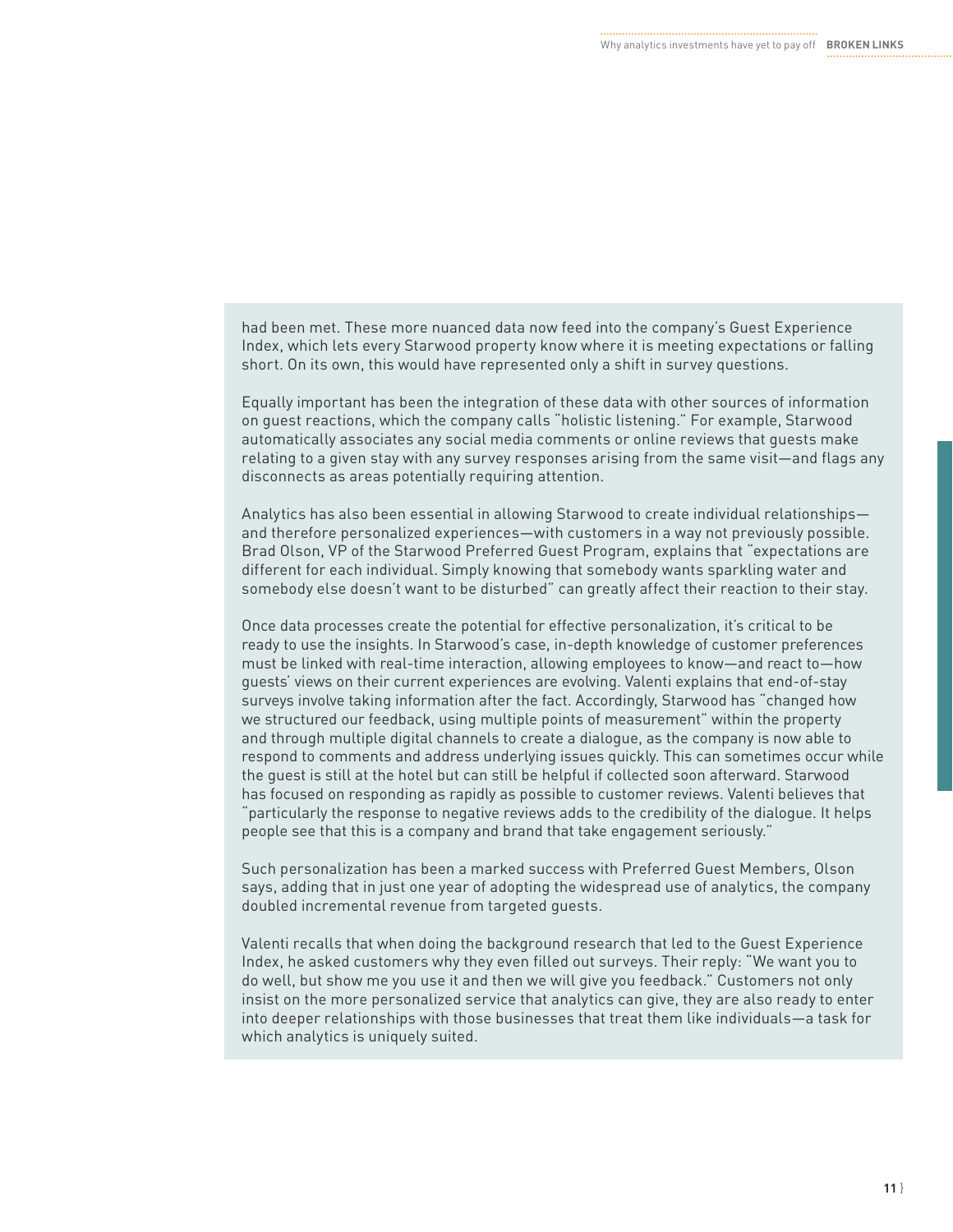had been met. These more nuanced data now feed into the company's Guest Experience Index, which lets every Starwood property know where it is meeting expectations or falling short. On its own, this would have represented only a shift in survey questions.

Equally important has been the integration of these data with other sources of information on guest reactions, which the company calls "holistic listening." For example, Starwood automatically associates any social media comments or online reviews that guests make relating to a given stay with any survey responses arising from the same visit—and flags any disconnects as areas potentially requiring attention.

Analytics has also been essential in allowing Starwood to create individual relationships and therefore personalized experiences—with customers in a way not previously possible. Brad Olson, VP of the Starwood Preferred Guest Program, explains that "expectations are different for each individual. Simply knowing that somebody wants sparkling water and somebody else doesn't want to be disturbed" can greatly affect their reaction to their stay.

Once data processes create the potential for effective personalization, it's critical to be ready to use the insights. In Starwood's case, in-depth knowledge of customer preferences must be linked with real-time interaction, allowing employees to know—and react to—how guests' views on their current experiences are evolving. Valenti explains that end-of-stay surveys involve taking information after the fact. Accordingly, Starwood has "changed how we structured our feedback, using multiple points of measurement" within the property and through multiple digital channels to create a dialogue, as the company is now able to respond to comments and address underlying issues quickly. This can sometimes occur while the guest is still at the hotel but can still be helpful if collected soon afterward. Starwood has focused on responding as rapidly as possible to customer reviews. Valenti believes that "particularly the response to negative reviews adds to the credibility of the dialogue. It helps people see that this is a company and brand that take engagement seriously."

Such personalization has been a marked success with Preferred Guest Members, Olson says, adding that in just one year of adopting the widespread use of analytics, the company doubled incremental revenue from targeted guests.

Valenti recalls that when doing the background research that led to the Guest Experience Index, he asked customers why they even filled out surveys. Their reply: "We want you to do well, but show me you use it and then we will give you feedback." Customers not only insist on the more personalized service that analytics can give, they are also ready to enter into deeper relationships with those businesses that treat them like individuals—a task for which analytics is uniquely suited.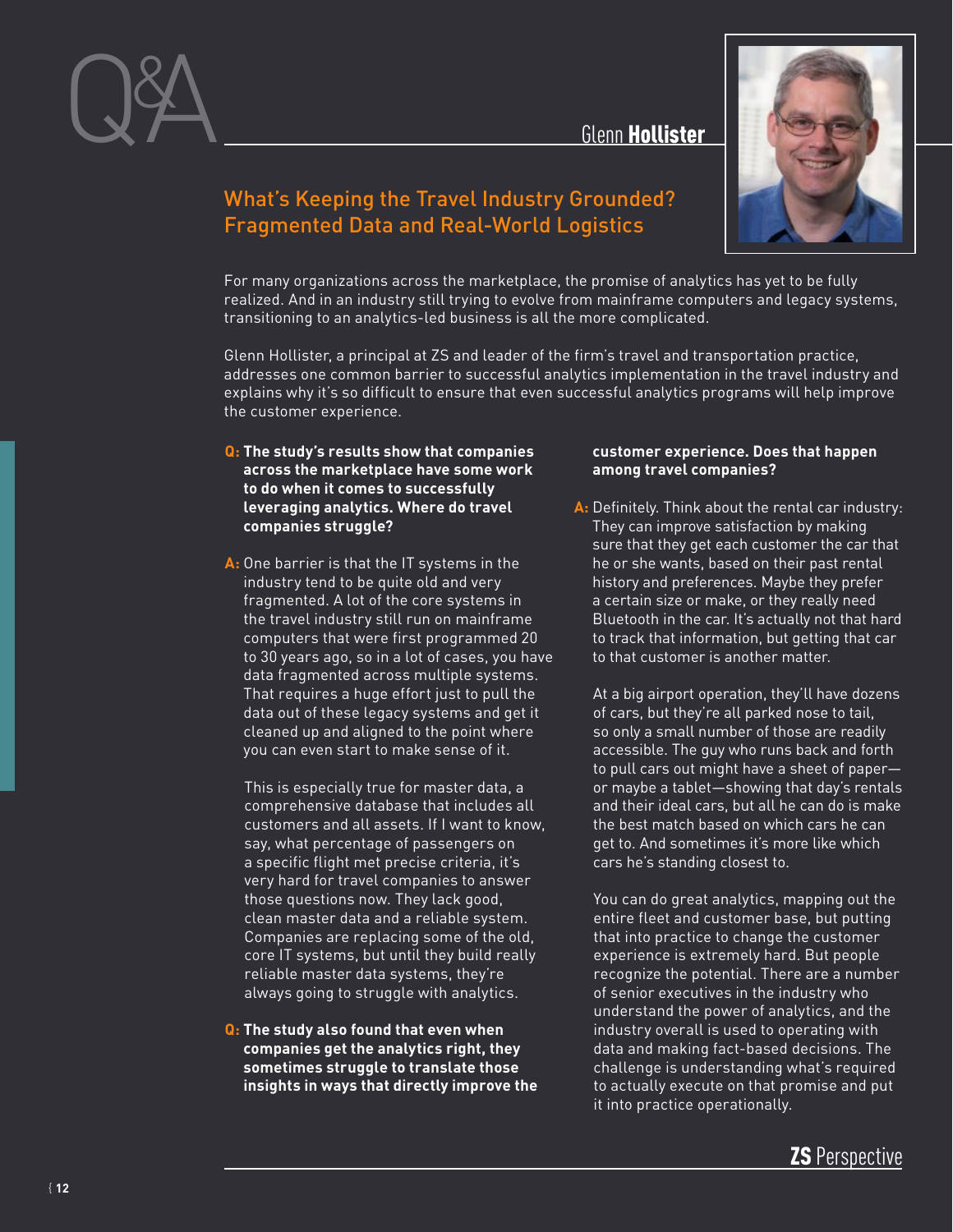

## Glenn Hollister

# What's Keeping the Travel Industry Grounded? Fragmented Data and Real-World Logistics



For many organizations across the marketplace, the promise of analytics has yet to be fully realized. And in an industry still trying to evolve from mainframe computers and legacy systems, transitioning to an analytics-led business is all the more complicated.

Glenn Hollister, a principal at ZS and leader of the firm's travel and transportation practice, addresses one common barrier to successful analytics implementation in the travel industry and explains why it's so difficult to ensure that even successful analytics programs will help improve the customer experience.

### **Q: The study's results show that companies across the marketplace have some work to do when it comes to successfully leveraging analytics. Where do travel companies struggle?**

**A:** One barrier is that the IT systems in the industry tend to be quite old and very fragmented. A lot of the core systems in the travel industry still run on mainframe computers that were first programmed 20 to 30 years ago, so in a lot of cases, you have data fragmented across multiple systems. That requires a huge effort just to pull the data out of these legacy systems and get it cleaned up and aligned to the point where you can even start to make sense of it.

 This is especially true for master data, a comprehensive database that includes all customers and all assets. If I want to know, say, what percentage of passengers on a specific flight met precise criteria, it's very hard for travel companies to answer those questions now. They lack good, clean master data and a reliable system. Companies are replacing some of the old, core IT systems, but until they build really reliable master data systems, they're always going to struggle with analytics.

**Q: The study also found that even when companies get the analytics right, they sometimes struggle to translate those insights in ways that directly improve the** 

### **customer experience. Does that happen among travel companies?**

**A:** Definitely. Think about the rental car industry: They can improve satisfaction by making sure that they get each customer the car that he or she wants, based on their past rental history and preferences. Maybe they prefer a certain size or make, or they really need Bluetooth in the car. It's actually not that hard to track that information, but getting that car to that customer is another matter.

 At a big airport operation, they'll have dozens of cars, but they're all parked nose to tail, so only a small number of those are readily accessible. The guy who runs back and forth to pull cars out might have a sheet of paper or maybe a tablet—showing that day's rentals and their ideal cars, but all he can do is make the best match based on which cars he can get to. And sometimes it's more like which cars he's standing closest to.

You can do great analytics, mapping out the entire fleet and customer base, but putting that into practice to change the customer experience is extremely hard. But people recognize the potential. There are a number of senior executives in the industry who understand the power of analytics, and the industry overall is used to operating with data and making fact-based decisions. The challenge is understanding what's required to actually execute on that promise and put it into practice operationally.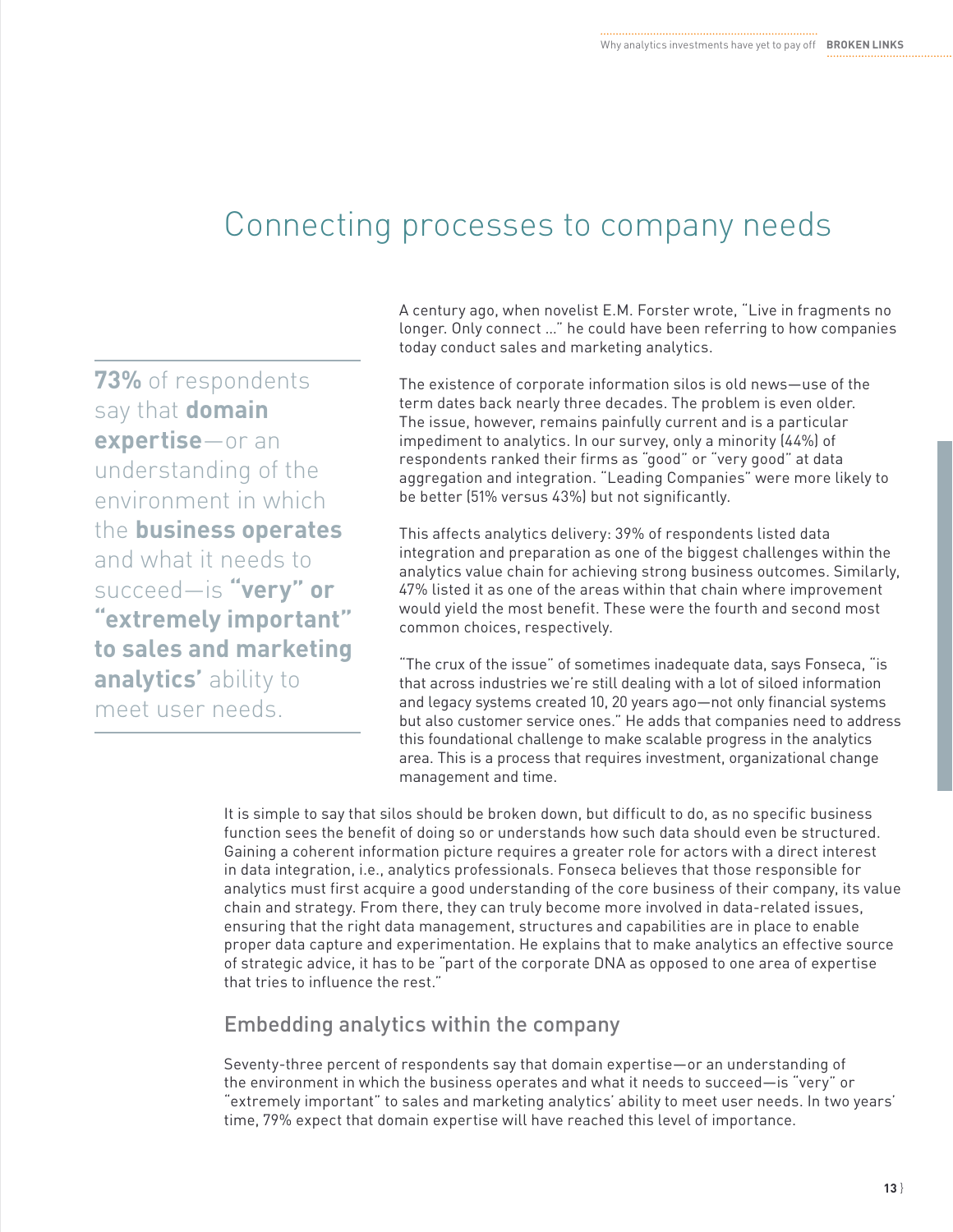# Connecting processes to company needs

**73%** of respondents say that **domain expertise**—or an understanding of the environment in which the **business operates** and what it needs to succeed—is **"very" or "extremely important" to sales and marketing analytics'** ability to meet user needs.

A century ago, when novelist E.M. Forster wrote, "Live in fragments no longer. Only connect …" he could have been referring to how companies today conduct sales and marketing analytics.

The existence of corporate information silos is old news—use of the term dates back nearly three decades. The problem is even older. The issue, however, remains painfully current and is a particular impediment to analytics. In our survey, only a minority (44%) of respondents ranked their firms as "good" or "very good" at data aggregation and integration. "Leading Companies" were more likely to be better (51% versus 43%) but not significantly.

This affects analytics delivery: 39% of respondents listed data integration and preparation as one of the biggest challenges within the analytics value chain for achieving strong business outcomes. Similarly, 47% listed it as one of the areas within that chain where improvement would yield the most benefit. These were the fourth and second most common choices, respectively.

"The crux of the issue" of sometimes inadequate data, says Fonseca, "is that across industries we're still dealing with a lot of siloed information and legacy systems created 10, 20 years ago—not only financial systems but also customer service ones." He adds that companies need to address this foundational challenge to make scalable progress in the analytics area. This is a process that requires investment, organizational change management and time.

It is simple to say that silos should be broken down, but difficult to do, as no specific business function sees the benefit of doing so or understands how such data should even be structured. Gaining a coherent information picture requires a greater role for actors with a direct interest in data integration, i.e., analytics professionals. Fonseca believes that those responsible for analytics must first acquire a good understanding of the core business of their company, its value chain and strategy. From there, they can truly become more involved in data-related issues, ensuring that the right data management, structures and capabilities are in place to enable proper data capture and experimentation. He explains that to make analytics an effective source of strategic advice, it has to be "part of the corporate DNA as opposed to one area of expertise that tries to influence the rest."

### Embedding analytics within the company

Seventy-three percent of respondents say that domain expertise—or an understanding of the environment in which the business operates and what it needs to succeed—is "very" or "extremely important" to sales and marketing analytics' ability to meet user needs. In two years' time, 79% expect that domain expertise will have reached this level of importance.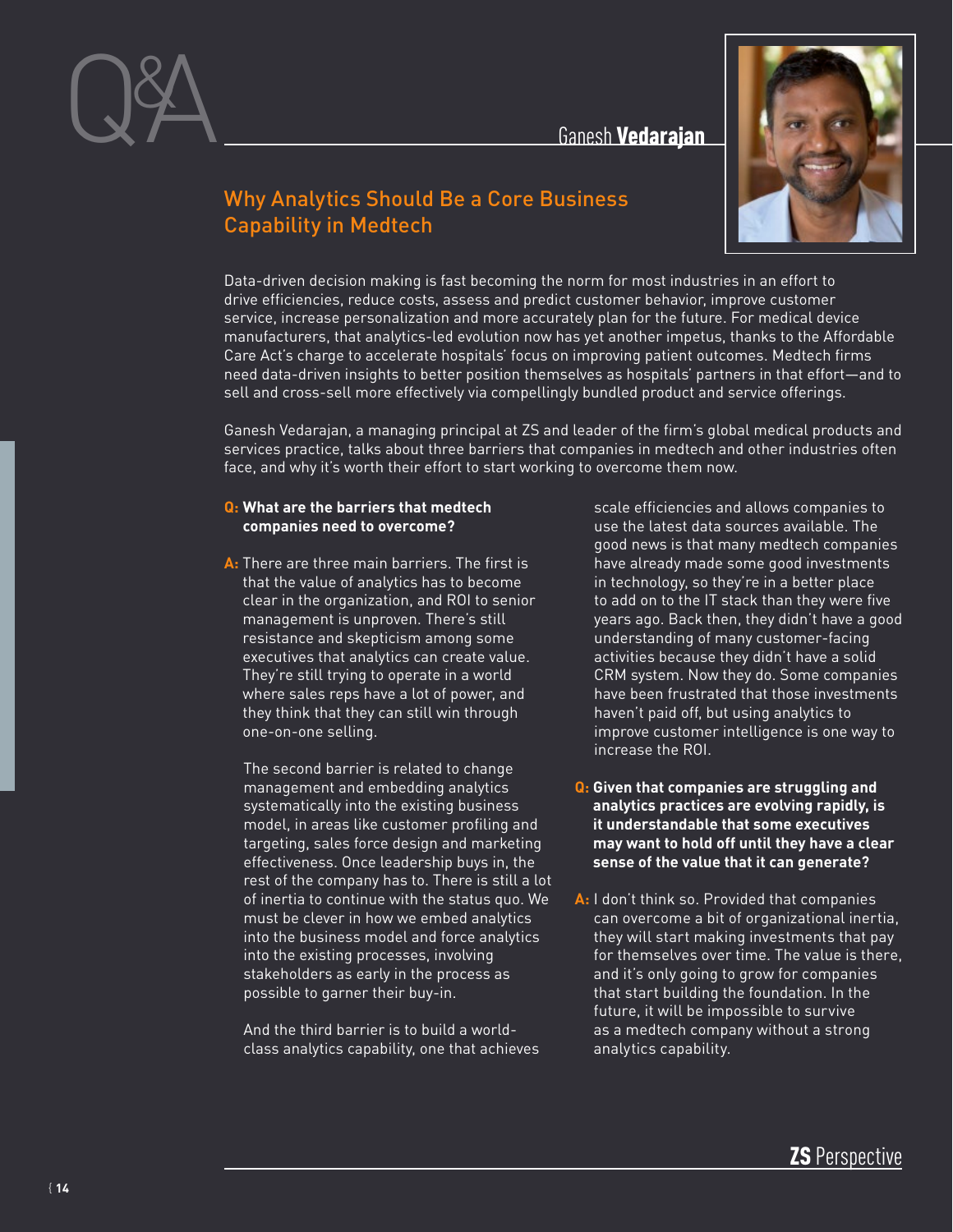

# Why Analytics Should Be a Core Business Capability in Medtech



Data-driven decision making is fast becoming the norm for most industries in an effort to drive efficiencies, reduce costs, assess and predict customer behavior, improve customer service, increase personalization and more accurately plan for the future. For medical device manufacturers, that analytics-led evolution now has yet another impetus, thanks to the Affordable Care Act's charge to accelerate hospitals' focus on improving patient outcomes. Medtech firms need data-driven insights to better position themselves as hospitals' partners in that effort—and to sell and cross-sell more effectively via compellingly bundled product and service offerings.

Ganesh Vedarajan, a managing principal at ZS and leader of the firm's global medical products and services practice, talks about three barriers that companies in medtech and other industries often face, and why it's worth their effort to start working to overcome them now.

### **Q: What are the barriers that medtech companies need to overcome?**

**A:** There are three main barriers. The first is that the value of analytics has to become clear in the organization, and ROI to senior management is unproven. There's still resistance and skepticism among some executives that analytics can create value. They're still trying to operate in a world where sales reps have a lot of power, and they think that they can still win through one-on-one selling.

 The second barrier is related to change management and embedding analytics systematically into the existing business model, in areas like customer profiling and targeting, sales force design and marketing effectiveness. Once leadership buys in, the rest of the company has to. There is still a lot of inertia to continue with the status quo. We must be clever in how we embed analytics into the business model and force analytics into the existing processes, involving stakeholders as early in the process as possible to garner their buy-in.

 And the third barrier is to build a worldclass analytics capability, one that achieves scale efficiencies and allows companies to use the latest data sources available. The good news is that many medtech companies have already made some good investments in technology, so they're in a better place to add on to the IT stack than they were five years ago. Back then, they didn't have a good understanding of many customer-facing activities because they didn't have a solid CRM system. Now they do. Some companies have been frustrated that those investments haven't paid off, but using analytics to improve customer intelligence is one way to increase the ROI.

- **Q: Given that companies are struggling and analytics practices are evolving rapidly, is it understandable that some executives may want to hold off until they have a clear sense of the value that it can generate?**
- **A:** I don't think so. Provided that companies can overcome a bit of organizational inertia, they will start making investments that pay for themselves over time. The value is there, and it's only going to grow for companies that start building the foundation. In the future, it will be impossible to survive as a medtech company without a strong analytics capability.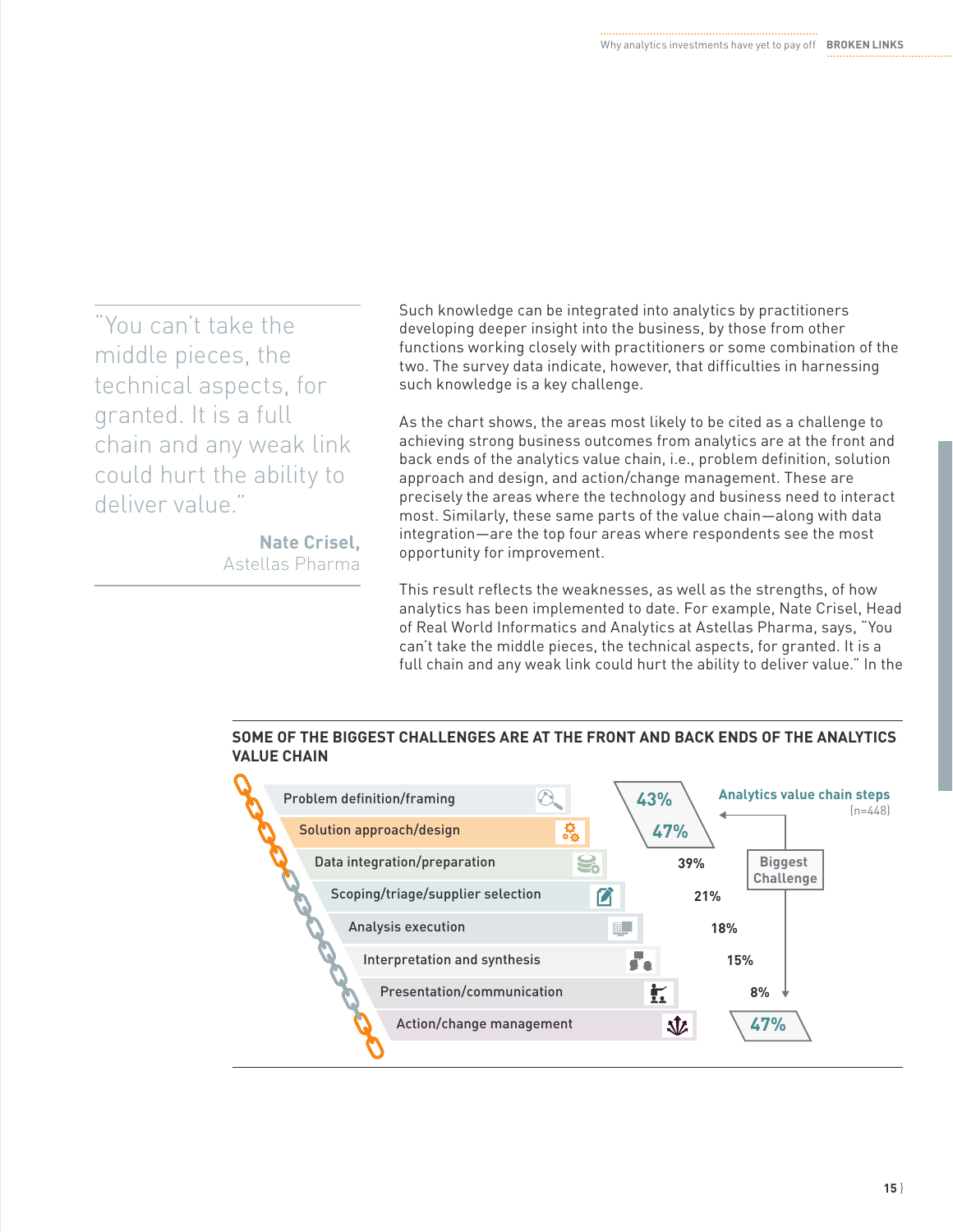"You can't take the middle pieces, the technical aspects, for granted. It is a full chain and any weak link could hurt the ability to deliver value."

> **Nate Crisel,**  Astellas Pharma

Such knowledge can be integrated into analytics by practitioners developing deeper insight into the business, by those from other functions working closely with practitioners or some combination of the two. The survey data indicate, however, that difficulties in harnessing such knowledge is a key challenge.

As the chart shows, the areas most likely to be cited as a challenge to achieving strong business outcomes from analytics are at the front and back ends of the analytics value chain, i.e., problem definition, solution approach and design, and action/change management. These are precisely the areas where the technology and business need to interact most. Similarly, these same parts of the value chain—along with data integration—are the top four areas where respondents see the most opportunity for improvement.

This result reflects the weaknesses, as well as the strengths, of how analytics has been implemented to date. For example, Nate Crisel, Head of Real World Informatics and Analytics at Astellas Pharma, says, "You can't take the middle pieces, the technical aspects, for granted. It is a full chain and any weak link could hurt the ability to deliver value." In the



### **SOME OF THE BIGGEST CHALLENGES ARE AT THE FRONT AND BACK ENDS OF THE ANALYTICS VALUE CHAIN**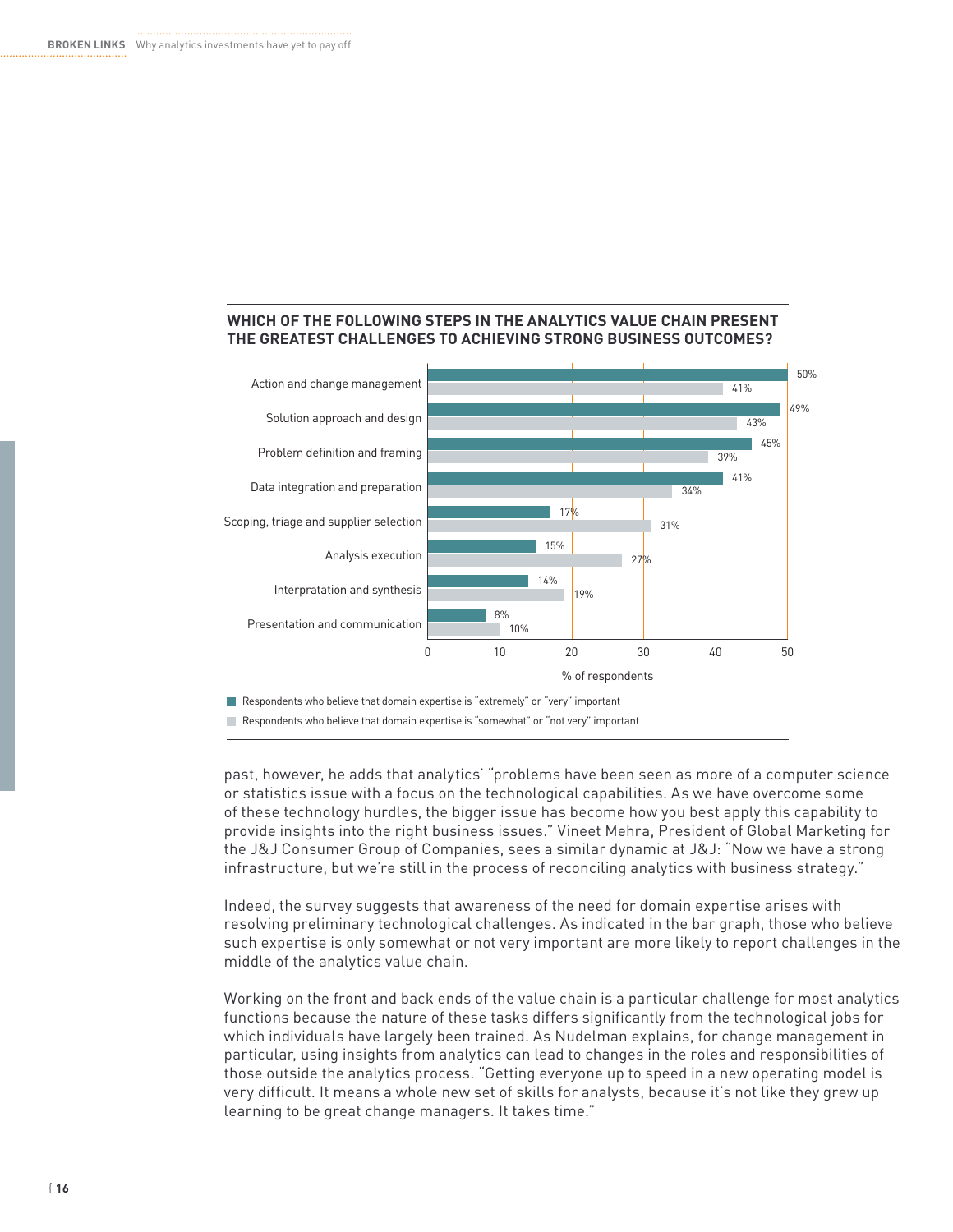



past, however, he adds that analytics' "problems have been seen as more of a computer science or statistics issue with a focus on the technological capabilities. As we have overcome some of these technology hurdles, the bigger issue has become how you best apply this capability to provide insights into the right business issues." Vineet Mehra, President of Global Marketing for the J&J Consumer Group of Companies, sees a similar dynamic at J&J: "Now we have a strong infrastructure, but we're still in the process of reconciling analytics with business strategy."

Indeed, the survey suggests that awareness of the need for domain expertise arises with resolving preliminary technological challenges. As indicated in the bar graph, those who believe such expertise is only somewhat or not very important are more likely to report challenges in the middle of the analytics value chain.

Working on the front and back ends of the value chain is a particular challenge for most analytics functions because the nature of these tasks differs significantly from the technological jobs for which individuals have largely been trained. As Nudelman explains, for change management in particular, using insights from analytics can lead to changes in the roles and responsibilities of those outside the analytics process. "Getting everyone up to speed in a new operating model is very difficult. It means a whole new set of skills for analysts, because it's not like they grew up learning to be great change managers. It takes time."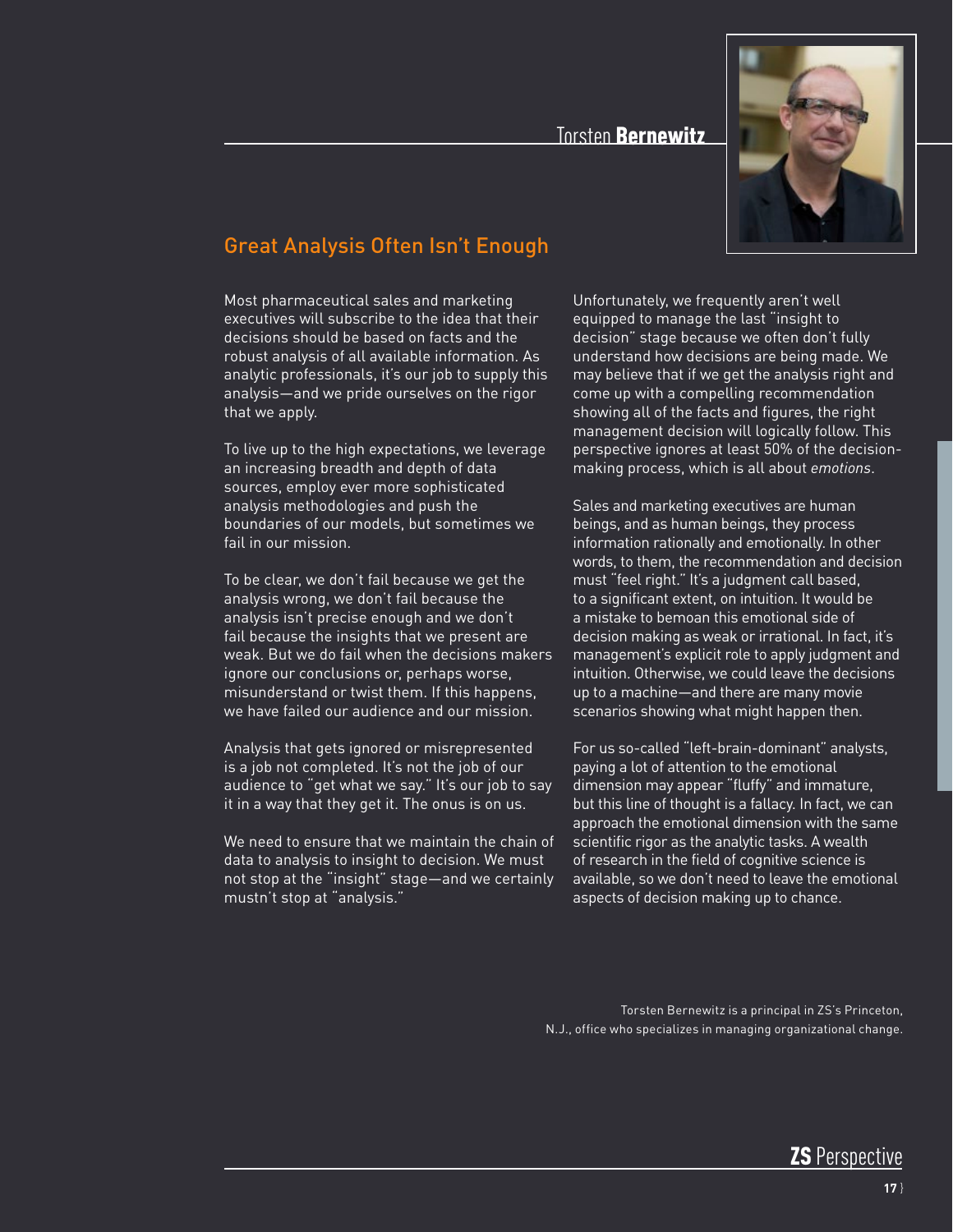### Torsten Bernewitz



# Great Analysis Often Isn't Enough

Most pharmaceutical sales and marketing executives will subscribe to the idea that their decisions should be based on facts and the robust analysis of all available information. As analytic professionals, it's our job to supply this analysis—and we pride ourselves on the rigor that we apply.

To live up to the high expectations, we leverage an increasing breadth and depth of data sources, employ ever more sophisticated analysis methodologies and push the boundaries of our models, but sometimes we fail in our mission.

To be clear, we don't fail because we get the analysis wrong, we don't fail because the analysis isn't precise enough and we don't fail because the insights that we present are weak. But we do fail when the decisions makers ignore our conclusions or, perhaps worse, misunderstand or twist them. If this happens, we have failed our audience and our mission.

Analysis that gets ignored or misrepresented is a job not completed. It's not the job of our audience to "get what we say." It's our job to say it in a way that they get it. The onus is on us.

We need to ensure that we maintain the chain of data to analysis to insight to decision. We must not stop at the "insight" stage—and we certainly mustn't stop at "analysis."

Unfortunately, we frequently aren't well equipped to manage the last "insight to decision" stage because we often don't fully understand how decisions are being made. We may believe that if we get the analysis right and come up with a compelling recommendation showing all of the facts and figures, the right management decision will logically follow. This perspective ignores at least 50% of the decisionmaking process, which is all about *emotions*.

Sales and marketing executives are human beings, and as human beings, they process information rationally and emotionally. In other words, to them, the recommendation and decision must "feel right." It's a judgment call based, to a significant extent, on intuition. It would be a mistake to bemoan this emotional side of decision making as weak or irrational. In fact, it's management's explicit role to apply judgment and intuition. Otherwise, we could leave the decisions up to a machine—and there are many movie scenarios showing what might happen then.

For us so-called "left-brain-dominant" analysts, paying a lot of attention to the emotional dimension may appear "fluffy" and immature, but this line of thought is a fallacy. In fact, we can approach the emotional dimension with the same scientific rigor as the analytic tasks. A wealth of research in the field of cognitive science is available, so we don't need to leave the emotional aspects of decision making up to chance.

Torsten Bernewitz is a principal in ZS's Princeton, N.J., office who specializes in managing organizational change.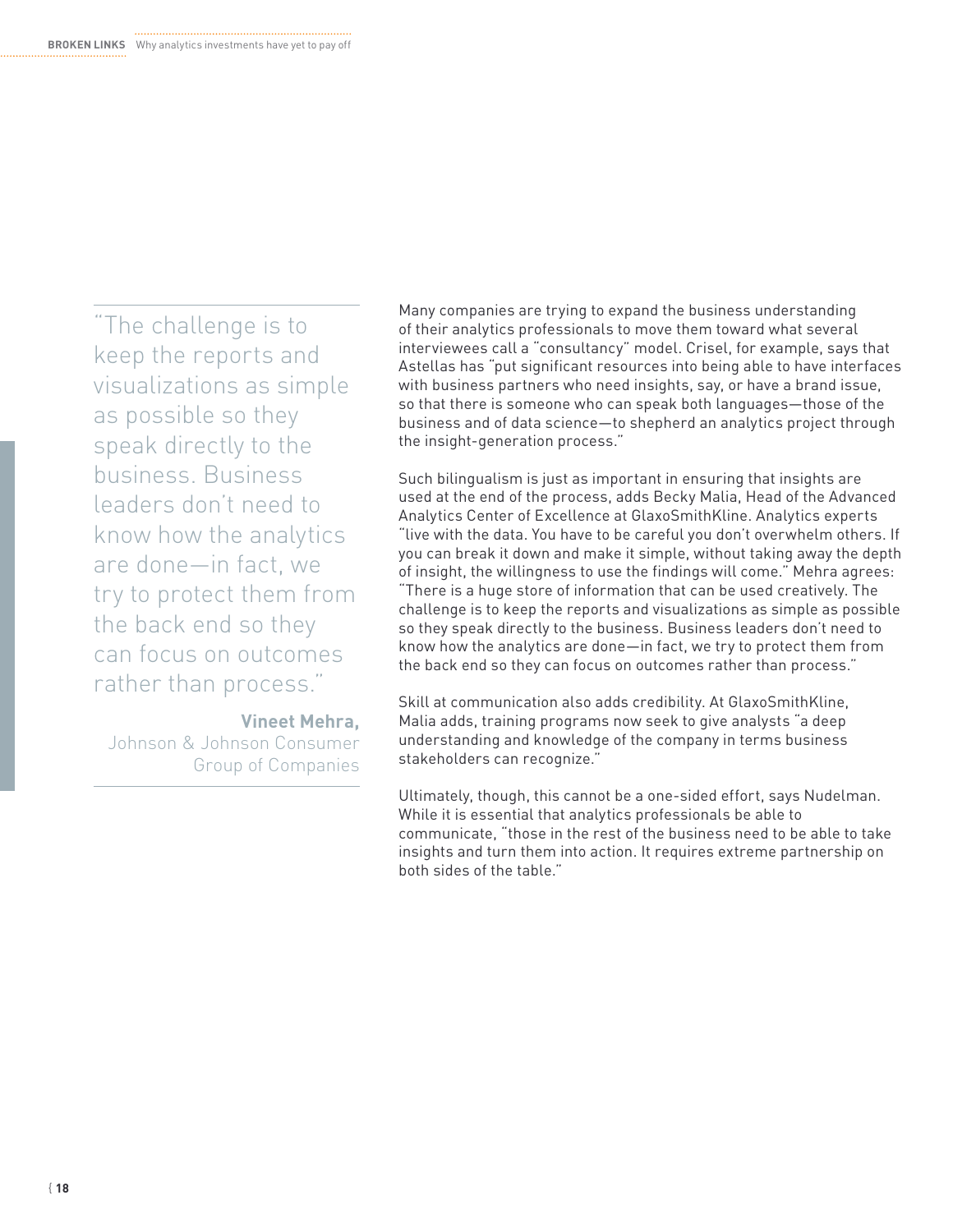"The challenge is to keep the reports and visualizations as simple as possible so they speak directly to the business. Business leaders don't need to know how the analytics are done—in fact, we try to protect them from the back end so they can focus on outcomes rather than process."

**Vineet Mehra,**  Johnson & Johnson Consumer Group of Companies Many companies are trying to expand the business understanding of their analytics professionals to move them toward what several interviewees call a "consultancy" model. Crisel, for example, says that Astellas has "put significant resources into being able to have interfaces with business partners who need insights, say, or have a brand issue, so that there is someone who can speak both languages—those of the business and of data science—to shepherd an analytics project through the insight-generation process."

Such bilingualism is just as important in ensuring that insights are used at the end of the process, adds Becky Malia, Head of the Advanced Analytics Center of Excellence at GlaxoSmithKline. Analytics experts "live with the data. You have to be careful you don't overwhelm others. If you can break it down and make it simple, without taking away the depth of insight, the willingness to use the findings will come." Mehra agrees: "There is a huge store of information that can be used creatively. The challenge is to keep the reports and visualizations as simple as possible so they speak directly to the business. Business leaders don't need to know how the analytics are done—in fact, we try to protect them from the back end so they can focus on outcomes rather than process."

Skill at communication also adds credibility. At GlaxoSmithKline, Malia adds, training programs now seek to give analysts "a deep understanding and knowledge of the company in terms business stakeholders can recognize."

Ultimately, though, this cannot be a one-sided effort, says Nudelman. While it is essential that analytics professionals be able to communicate, "those in the rest of the business need to be able to take insights and turn them into action. It requires extreme partnership on both sides of the table."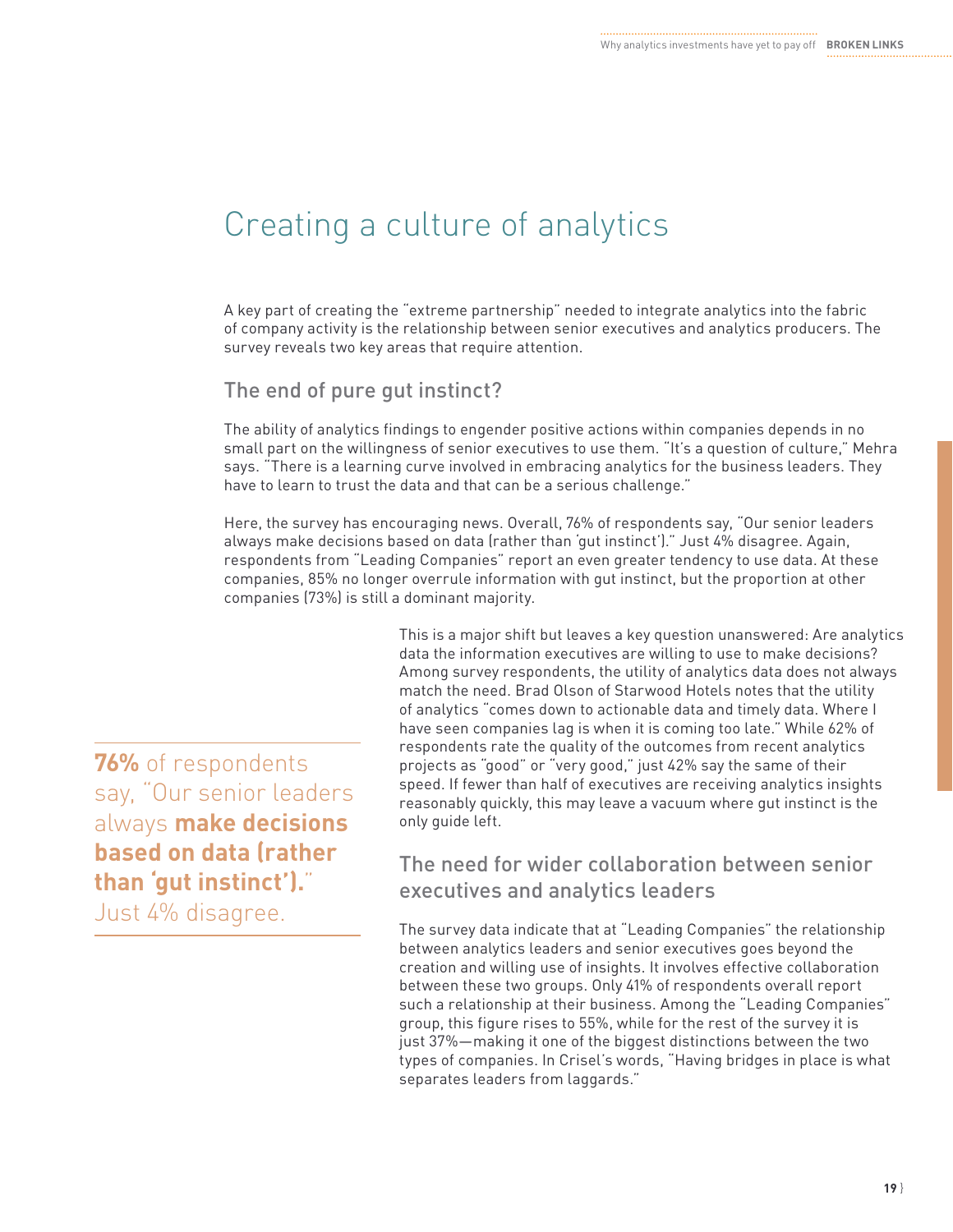# Creating a culture of analytics

A key part of creating the "extreme partnership" needed to integrate analytics into the fabric of company activity is the relationship between senior executives and analytics producers. The survey reveals two key areas that require attention.

### The end of pure gut instinct?

The ability of analytics findings to engender positive actions within companies depends in no small part on the willingness of senior executives to use them. "It's a question of culture," Mehra says. "There is a learning curve involved in embracing analytics for the business leaders. They have to learn to trust the data and that can be a serious challenge."

Here, the survey has encouraging news. Overall, 76% of respondents say, "Our senior leaders always make decisions based on data (rather than 'gut instinct')." Just 4% disagree. Again, respondents from "Leading Companies" report an even greater tendency to use data. At these companies, 85% no longer overrule information with gut instinct, but the proportion at other companies (73%) is still a dominant majority.

> This is a major shift but leaves a key question unanswered: Are analytics data the information executives are willing to use to make decisions? Among survey respondents, the utility of analytics data does not always match the need. Brad Olson of Starwood Hotels notes that the utility of analytics "comes down to actionable data and timely data. Where I have seen companies lag is when it is coming too late." While 62% of respondents rate the quality of the outcomes from recent analytics projects as "good" or "very good," just 42% say the same of their speed. If fewer than half of executives are receiving analytics insights reasonably quickly, this may leave a vacuum where gut instinct is the only guide left.

The need for wider collaboration between senior executives and analytics leaders

The survey data indicate that at "Leading Companies" the relationship between analytics leaders and senior executives goes beyond the creation and willing use of insights. It involves effective collaboration between these two groups. Only 41% of respondents overall report such a relationship at their business. Among the "Leading Companies" group, this figure rises to 55%, while for the rest of the survey it is just 37%—making it one of the biggest distinctions between the two types of companies. In Crisel's words, "Having bridges in place is what separates leaders from laggards."

**76%** of respondents say, "Our senior leaders always **make decisions based on data (rather than 'gut instinct').**" Just 4% disagree.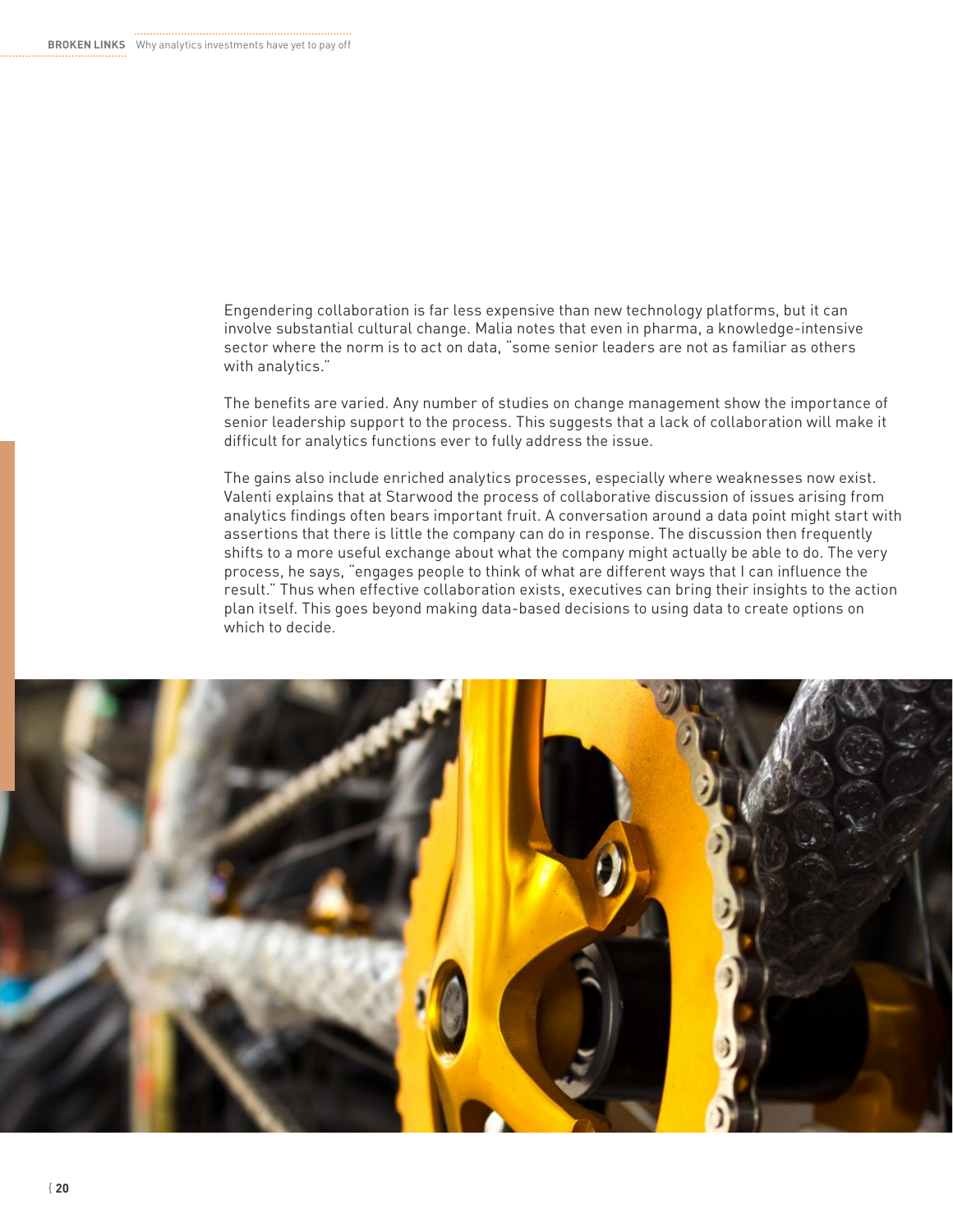Engendering collaboration is far less expensive than new technology platforms, but it can involve substantial cultural change. Malia notes that even in pharma, a knowledge-intensive sector where the norm is to act on data, "some senior leaders are not as familiar as others with analytics."

The benefits are varied. Any number of studies on change management show the importance of senior leadership support to the process. This suggests that a lack of collaboration will make it difficult for analytics functions ever to fully address the issue.

The gains also include enriched analytics processes, especially where weaknesses now exist. Valenti explains that at Starwood the process of collaborative discussion of issues arising from analytics findings often bears important fruit. A conversation around a data point might start with assertions that there is little the company can do in response. The discussion then frequently shifts to a more useful exchange about what the company might actually be able to do. The very process, he says, "engages people to think of what are different ways that I can influence the result." Thus when effective collaboration exists, executives can bring their insights to the action plan itself. This goes beyond making data-based decisions to using data to create options on which to decide.

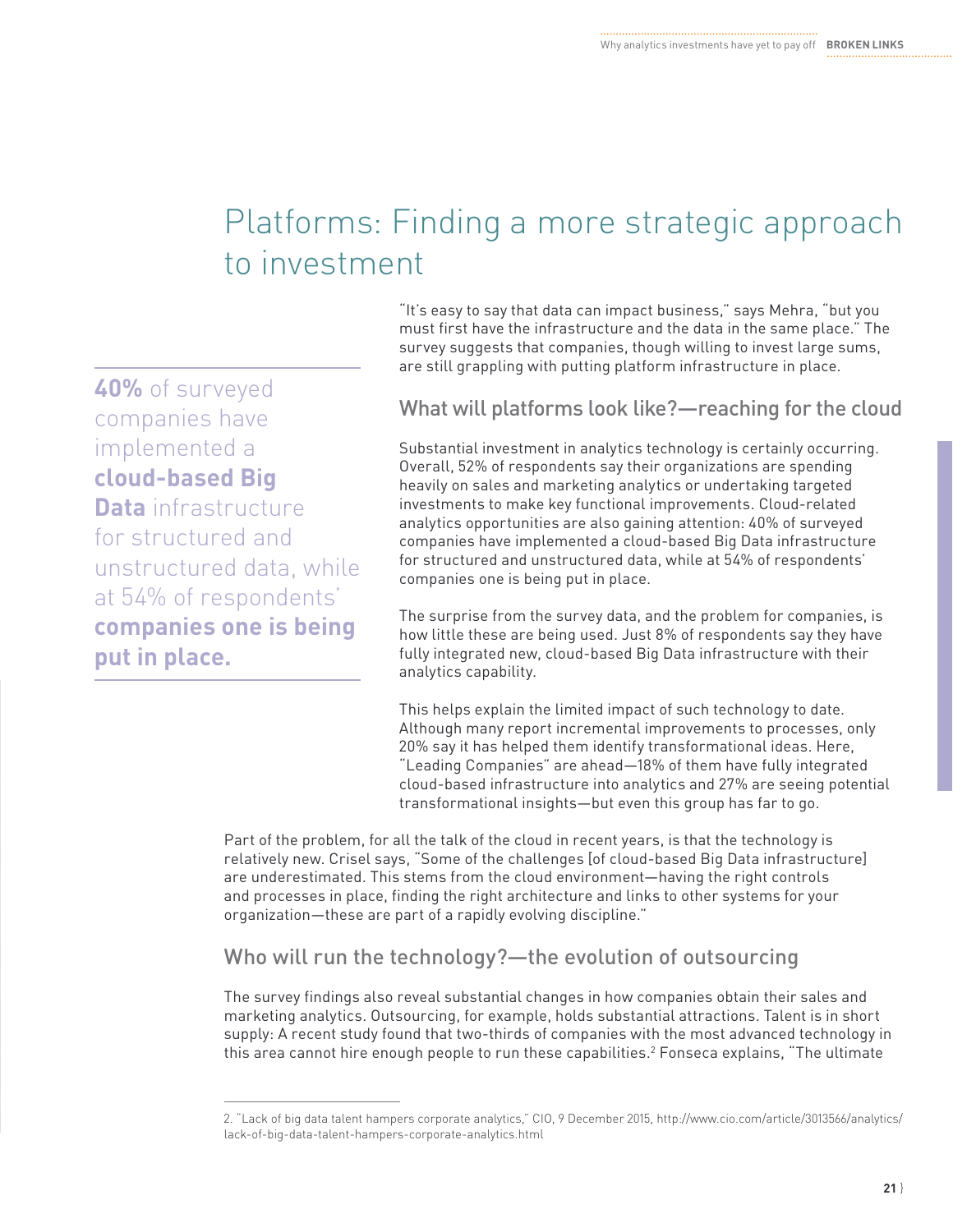# Platforms: Finding a more strategic approach to investment

"It's easy to say that data can impact business," says Mehra, "but you must first have the infrastructure and the data in the same place." The survey suggests that companies, though willing to invest large sums, are still grappling with putting platform infrastructure in place.

What will platforms look like?—reaching for the cloud

Substantial investment in analytics technology is certainly occurring. Overall, 52% of respondents say their organizations are spending heavily on sales and marketing analytics or undertaking targeted investments to make key functional improvements. Cloud-related analytics opportunities are also gaining attention: 40% of surveyed companies have implemented a cloud-based Big Data infrastructure for structured and unstructured data, while at 54% of respondents' companies one is being put in place.

The surprise from the survey data, and the problem for companies, is how little these are being used. Just 8% of respondents say they have fully integrated new, cloud-based Big Data infrastructure with their analytics capability.

This helps explain the limited impact of such technology to date. Although many report incremental improvements to processes, only 20% say it has helped them identify transformational ideas. Here, "Leading Companies" are ahead—18% of them have fully integrated cloud-based infrastructure into analytics and 27% are seeing potential transformational insights—but even this group has far to go.

Part of the problem, for all the talk of the cloud in recent years, is that the technology is relatively new. Crisel says, "Some of the challenges [of cloud-based Big Data infrastructure] are underestimated. This stems from the cloud environment—having the right controls and processes in place, finding the right architecture and links to other systems for your organization—these are part of a rapidly evolving discipline."

## Who will run the technology?—the evolution of outsourcing

The survey findings also reveal substantial changes in how companies obtain their sales and marketing analytics. Outsourcing, for example, holds substantial attractions. Talent is in short supply: A recent study found that two-thirds of companies with the most advanced technology in this area cannot hire enough people to run these capabilities. $^2$  Fonseca explains, "The ultimate

**40%** of surveyed companies have implemented a **cloud-based Big** 

**Data** infrastructure for structured and unstructured data, while at 54% of respondents' **companies one is being put in place.**

<sup>2. &</sup>quot;Lack of big data talent hampers corporate analytics," CIO, 9 December 2015, http://www.cio.com/article/3013566/analytics/ lack-of-big-data-talent-hampers-corporate-analytics.html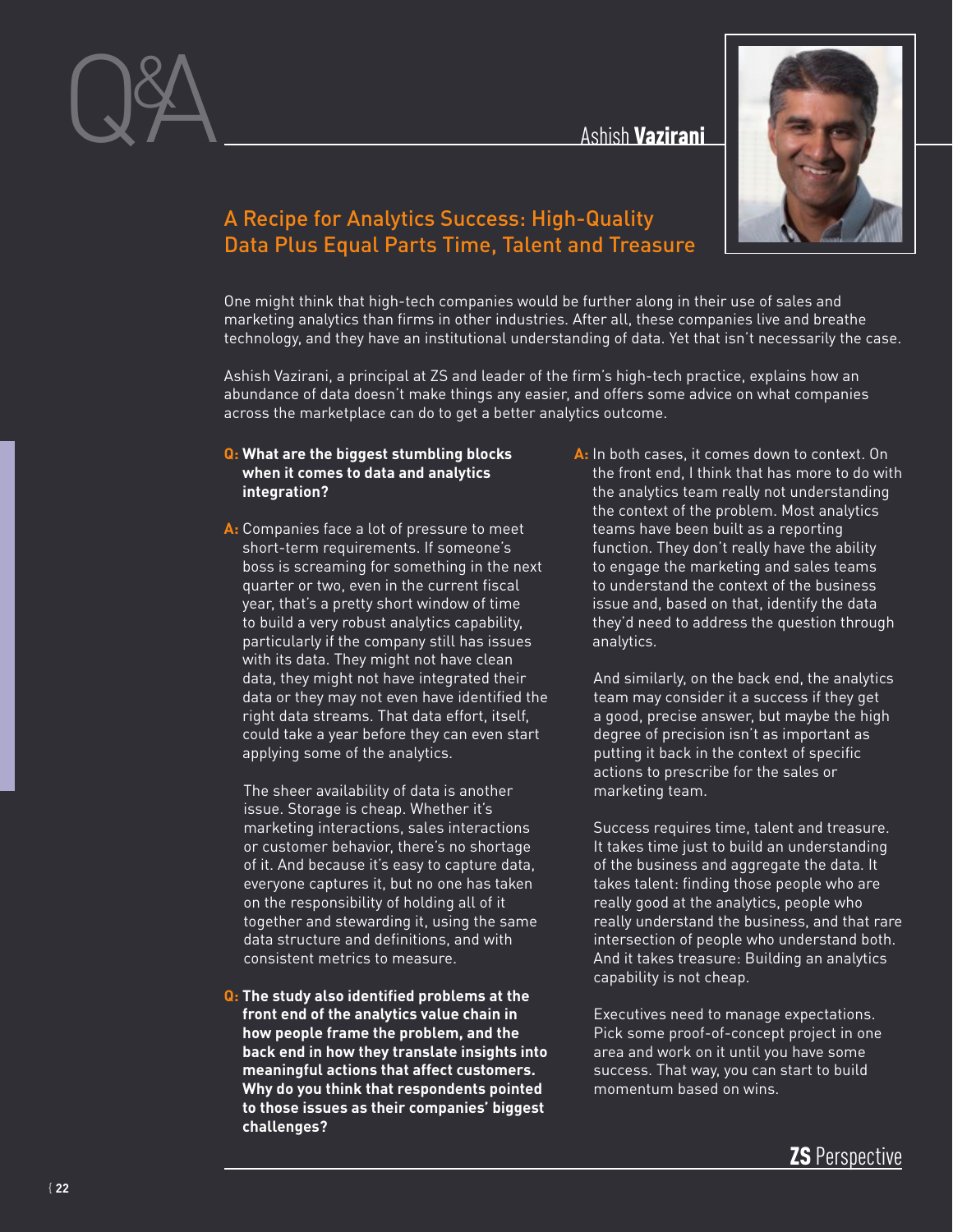



# A Recipe for Analytics Success: High-Quality Data Plus Equal Parts Time, Talent and Treasure

One might think that high-tech companies would be further along in their use of sales and marketing analytics than firms in other industries. After all, these companies live and breathe technology, and they have an institutional understanding of data. Yet that isn't necessarily the case.

Ashish Vazirani, a principal at ZS and leader of the firm's high-tech practice, explains how an abundance of data doesn't make things any easier, and offers some advice on what companies across the marketplace can do to get a better analytics outcome.

### **Q: What are the biggest stumbling blocks when it comes to data and analytics integration?**

**A:** Companies face a lot of pressure to meet short-term requirements. If someone's boss is screaming for something in the next quarter or two, even in the current fiscal year, that's a pretty short window of time to build a very robust analytics capability, particularly if the company still has issues with its data. They might not have clean data, they might not have integrated their data or they may not even have identified the right data streams. That data effort, itself, could take a year before they can even start applying some of the analytics.

 The sheer availability of data is another issue. Storage is cheap. Whether it's marketing interactions, sales interactions or customer behavior, there's no shortage of it. And because it's easy to capture data, everyone captures it, but no one has taken on the responsibility of holding all of it together and stewarding it, using the same data structure and definitions, and with consistent metrics to measure.

**Q: The study also identified problems at the front end of the analytics value chain in how people frame the problem, and the back end in how they translate insights into meaningful actions that affect customers. Why do you think that respondents pointed to those issues as their companies' biggest challenges?** 

**A:** In both cases, it comes down to context. On the front end, I think that has more to do with the analytics team really not understanding the context of the problem. Most analytics teams have been built as a reporting function. They don't really have the ability to engage the marketing and sales teams to understand the context of the business issue and, based on that, identify the data they'd need to address the question through analytics.

 And similarly, on the back end, the analytics team may consider it a success if they get a good, precise answer, but maybe the high degree of precision isn't as important as putting it back in the context of specific actions to prescribe for the sales or marketing team.

 Success requires time, talent and treasure. It takes time just to build an understanding of the business and aggregate the data. It takes talent: finding those people who are really good at the analytics, people who really understand the business, and that rare intersection of people who understand both. And it takes treasure: Building an analytics capability is not cheap.

 Executives need to manage expectations. Pick some proof-of-concept project in one area and work on it until you have some success. That way, you can start to build momentum based on wins.

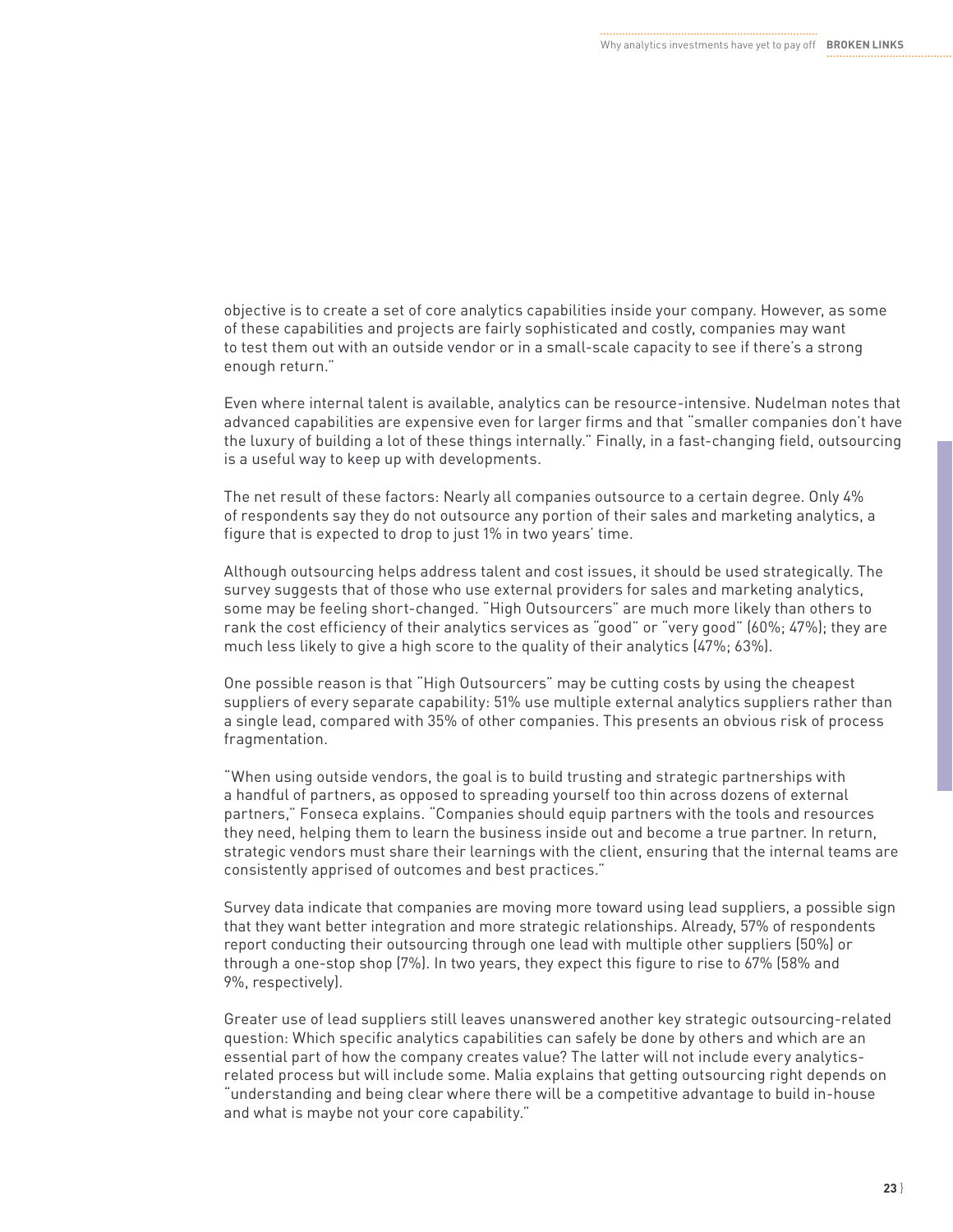objective is to create a set of core analytics capabilities inside your company. However, as some of these capabilities and projects are fairly sophisticated and costly, companies may want to test them out with an outside vendor or in a small-scale capacity to see if there's a strong enough return."

Even where internal talent is available, analytics can be resource-intensive. Nudelman notes that advanced capabilities are expensive even for larger firms and that "smaller companies don't have the luxury of building a lot of these things internally." Finally, in a fast-changing field, outsourcing is a useful way to keep up with developments.

The net result of these factors: Nearly all companies outsource to a certain degree. Only 4% of respondents say they do not outsource any portion of their sales and marketing analytics, a figure that is expected to drop to just 1% in two years' time.

Although outsourcing helps address talent and cost issues, it should be used strategically. The survey suggests that of those who use external providers for sales and marketing analytics, some may be feeling short-changed. "High Outsourcers" are much more likely than others to rank the cost efficiency of their analytics services as "good" or "very good" (60%; 47%); they are much less likely to give a high score to the quality of their analytics (47%; 63%).

One possible reason is that "High Outsourcers" may be cutting costs by using the cheapest suppliers of every separate capability: 51% use multiple external analytics suppliers rather than a single lead, compared with 35% of other companies. This presents an obvious risk of process fragmentation.

"When using outside vendors, the goal is to build trusting and strategic partnerships with a handful of partners, as opposed to spreading yourself too thin across dozens of external partners," Fonseca explains. "Companies should equip partners with the tools and resources they need, helping them to learn the business inside out and become a true partner. In return, strategic vendors must share their learnings with the client, ensuring that the internal teams are consistently apprised of outcomes and best practices."

Survey data indicate that companies are moving more toward using lead suppliers, a possible sign that they want better integration and more strategic relationships. Already, 57% of respondents report conducting their outsourcing through one lead with multiple other suppliers (50%) or through a one-stop shop (7%). In two years, they expect this figure to rise to 67% (58% and 9%, respectively).

Greater use of lead suppliers still leaves unanswered another key strategic outsourcing-related question: Which specific analytics capabilities can safely be done by others and which are an essential part of how the company creates value? The latter will not include every analyticsrelated process but will include some. Malia explains that getting outsourcing right depends on "understanding and being clear where there will be a competitive advantage to build in-house and what is maybe not your core capability."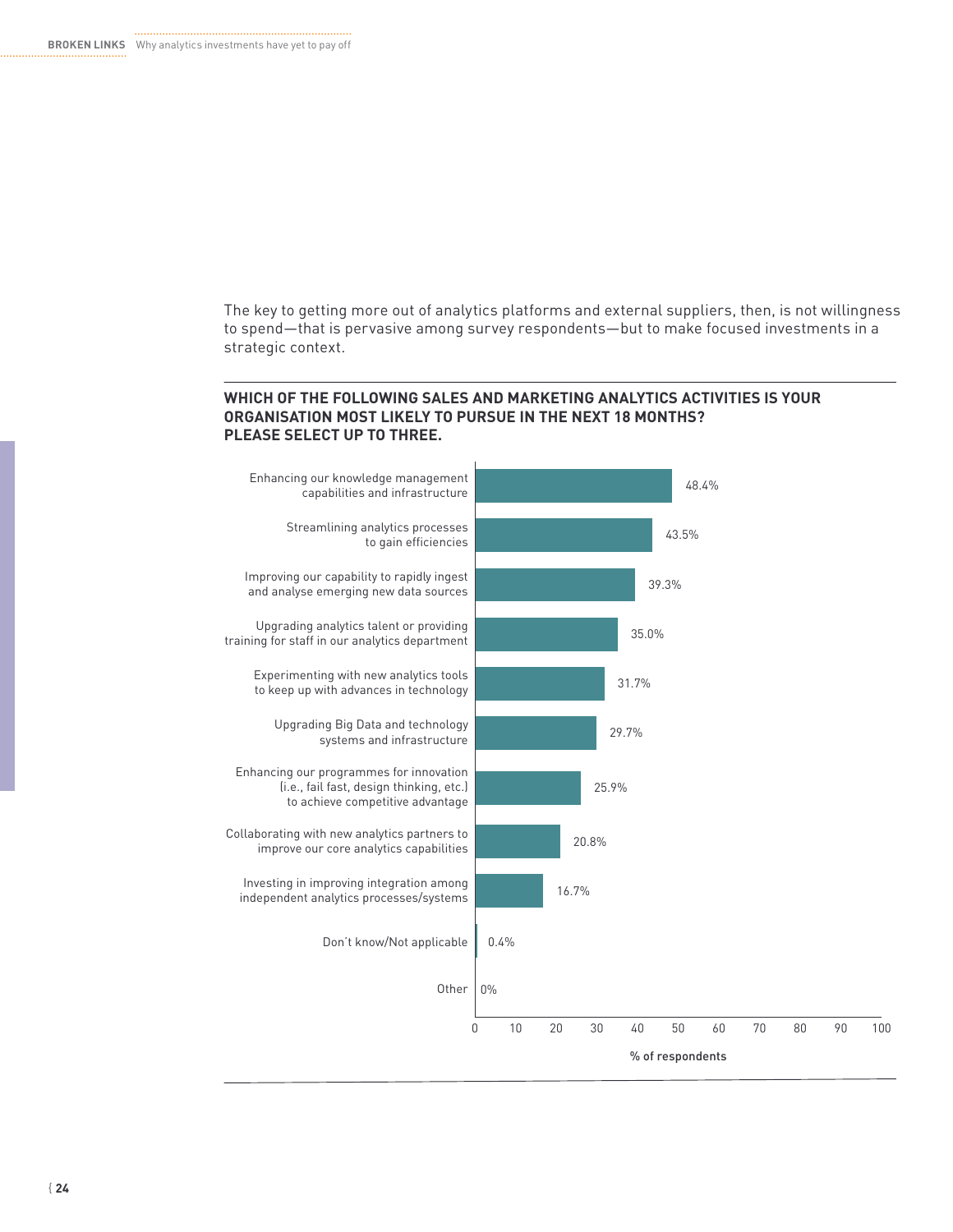The key to getting more out of analytics platforms and external suppliers, then, is not willingness to spend—that is pervasive among survey respondents—but to make focused investments in a strategic context.

### **WHICH OF THE FOLLOWING SALES AND MARKETING ANALYTICS ACTIVITIES IS YOUR ORGANISATION MOST LIKELY TO PURSUE IN THE NEXT 18 MONTHS? PLEASE SELECT UP TO THREE.**

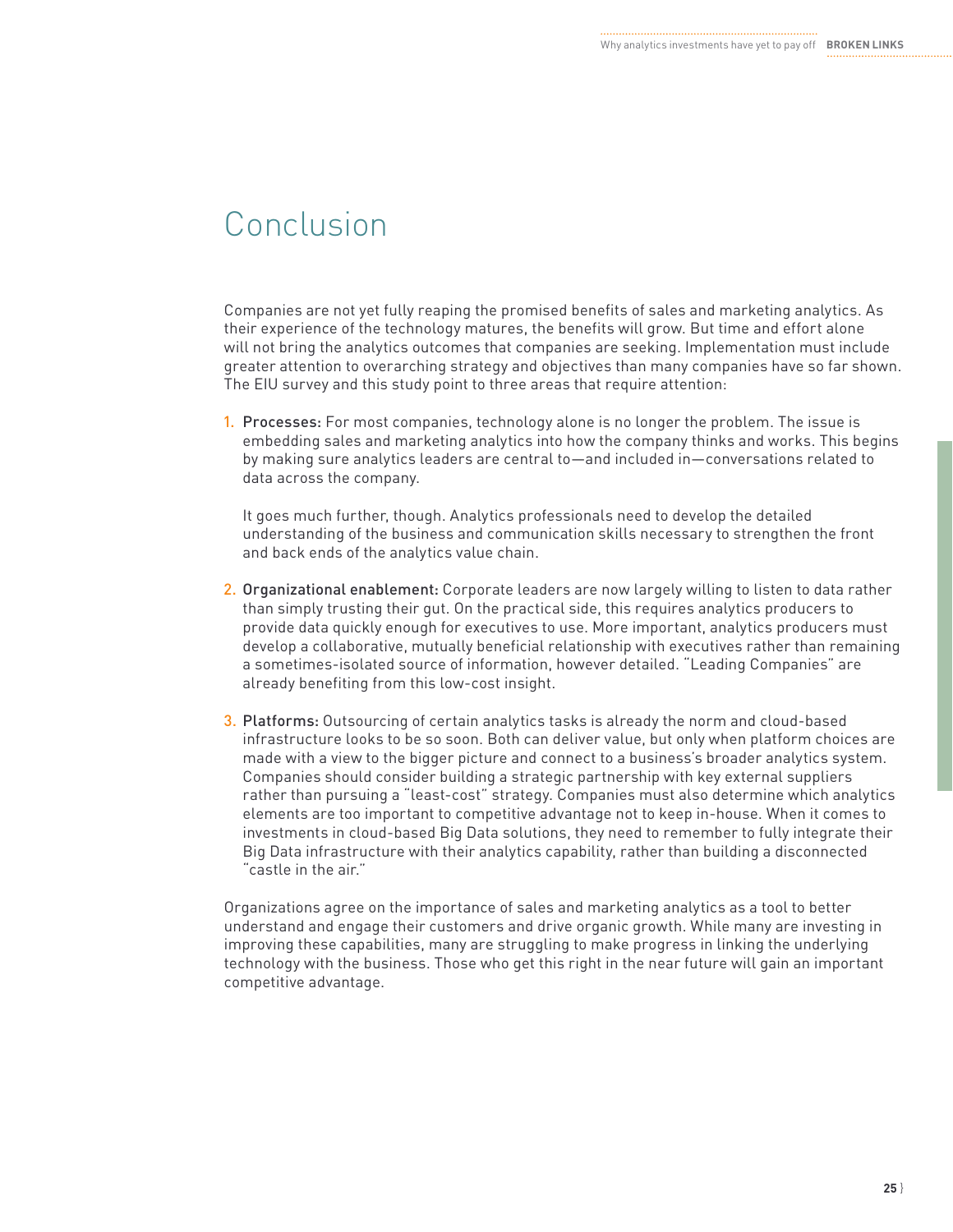# Conclusion

Companies are not yet fully reaping the promised benefits of sales and marketing analytics. As their experience of the technology matures, the benefits will grow. But time and effort alone will not bring the analytics outcomes that companies are seeking. Implementation must include greater attention to overarching strategy and objectives than many companies have so far shown. The EIU survey and this study point to three areas that require attention:

1. Processes: For most companies, technology alone is no longer the problem. The issue is embedding sales and marketing analytics into how the company thinks and works. This begins by making sure analytics leaders are central to—and included in—conversations related to data across the company.

It goes much further, though. Analytics professionals need to develop the detailed understanding of the business and communication skills necessary to strengthen the front and back ends of the analytics value chain.

- 2. Organizational enablement: Corporate leaders are now largely willing to listen to data rather than simply trusting their gut. On the practical side, this requires analytics producers to provide data quickly enough for executives to use. More important, analytics producers must develop a collaborative, mutually beneficial relationship with executives rather than remaining a sometimes-isolated source of information, however detailed. "Leading Companies" are already benefiting from this low-cost insight.
- 3. Platforms: Outsourcing of certain analytics tasks is already the norm and cloud-based infrastructure looks to be so soon. Both can deliver value, but only when platform choices are made with a view to the bigger picture and connect to a business's broader analytics system. Companies should consider building a strategic partnership with key external suppliers rather than pursuing a "least-cost" strategy. Companies must also determine which analytics elements are too important to competitive advantage not to keep in-house. When it comes to investments in cloud-based Big Data solutions, they need to remember to fully integrate their Big Data infrastructure with their analytics capability, rather than building a disconnected "castle in the air."

Organizations agree on the importance of sales and marketing analytics as a tool to better understand and engage their customers and drive organic growth. While many are investing in improving these capabilities, many are struggling to make progress in linking the underlying technology with the business. Those who get this right in the near future will gain an important competitive advantage.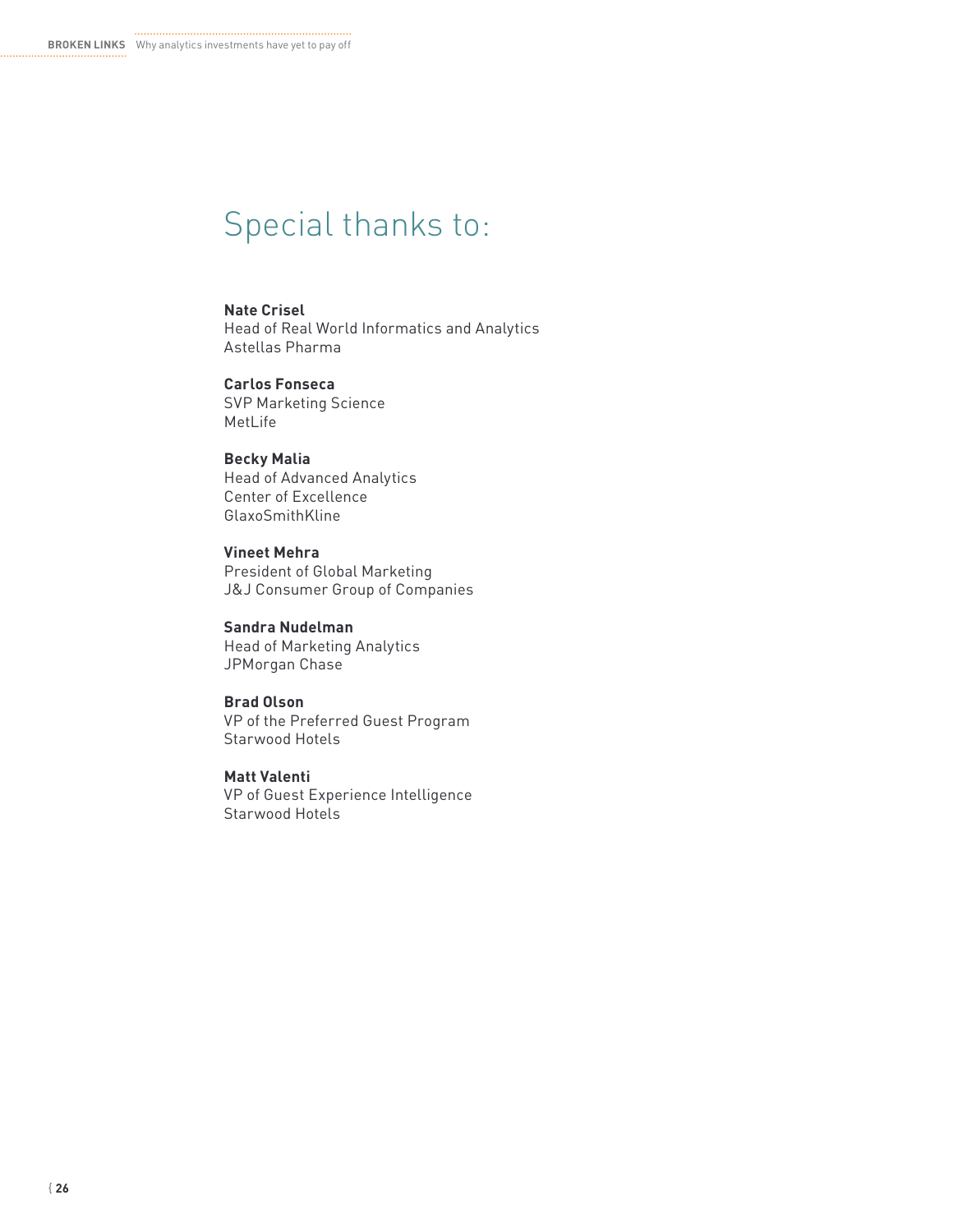# Special thanks to:

#### **Nate Crisel**

Head of Real World Informatics and Analytics Astellas Pharma

### **Carlos Fonseca**

SVP Marketing Science MetLife

### **Becky Malia**

Head of Advanced Analytics Center of Excellence GlaxoSmithKline

### **Vineet Mehra**

President of Global Marketing J&J Consumer Group of Companies

### **Sandra Nudelman**

Head of Marketing Analytics JPMorgan Chase

### **Brad Olson**

VP of the Preferred Guest Program Starwood Hotels

#### **Matt Valenti**

VP of Guest Experience Intelligence Starwood Hotels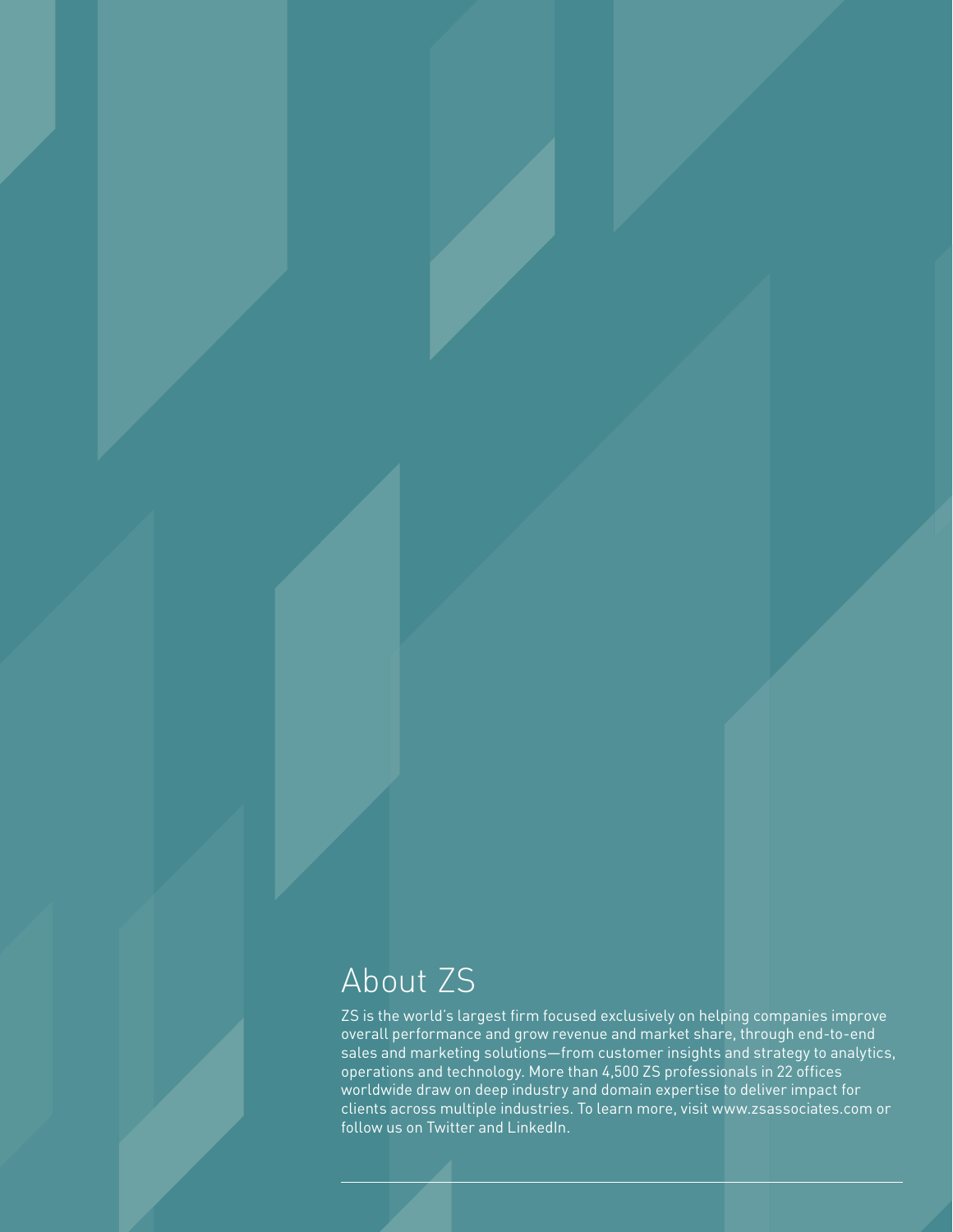# About ZS

ZS is the world's largest firm focused exclusively on helping companies improve overall performance and grow revenue and market share, through end-to-end sales and marketing solutions—from customer insights and strategy to analytics, operations and technology. More than 4,500 ZS professionals in 22 offices worldwide draw on deep industry and domain expertise to deliver impact for clients across multiple industries. To learn more, visit www.zsassociates.com or follow us on Twitter and LinkedIn.